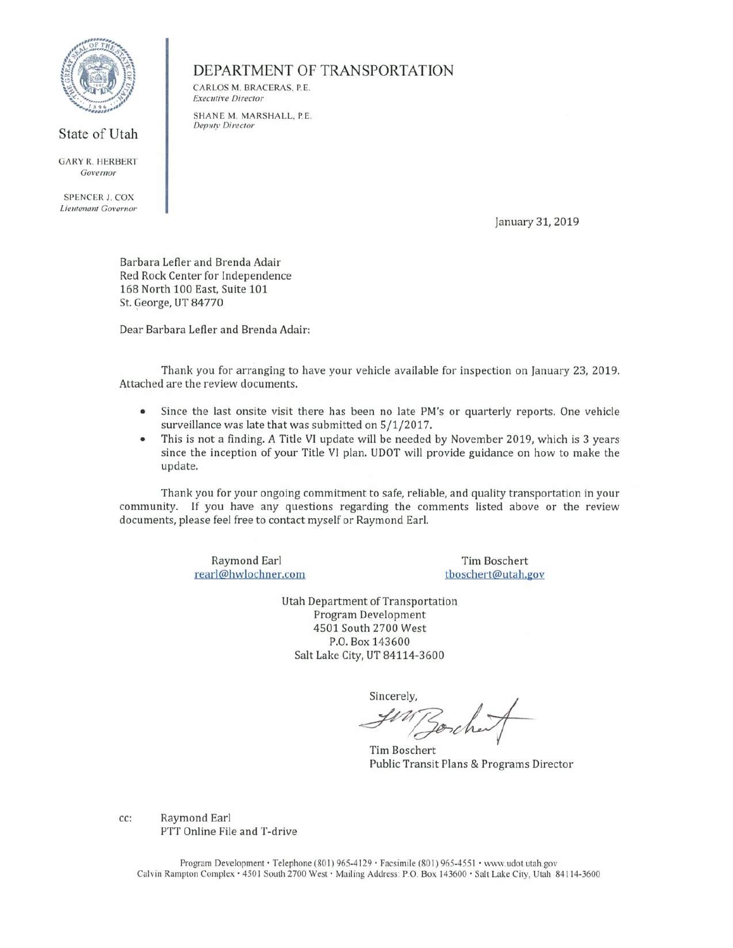

### State of Utah

**GARY R. HERBERT** Governor

**SPENCER J. COX** Lieutenant Governor

## DEPARTMENT OF TRANSPORTATION

CARLOS M. BRACERAS, P.E. **Executive Director** 

SHANE M. MARSHALL, P.E. Deputy Director

January 31, 2019

Barbara Lefler and Brenda Adair Red Rock Center for Independence 168 North 100 East, Suite 101 St. George, UT 84770

Dear Barbara Lefler and Brenda Adair:

Thank you for arranging to have your vehicle available for inspection on January 23, 2019. Attached are the review documents.

- Since the last onsite visit there has been no late PM's or quarterly reports. One vehicle  $\bullet$ surveillance was late that was submitted on 5/1/2017.
- This is not a finding. A Title VI update will be needed by November 2019, which is 3 years  $\bullet$ since the inception of your Title VI plan. UDOT will provide guidance on how to make the update.

Thank you for your ongoing commitment to safe, reliable, and quality transportation in your community. If you have any questions regarding the comments listed above or the review documents, please feel free to contact myself or Raymond Earl.

> Raymond Earl rearl@hwlochner.com

**Tim Boschert** tboschert@utah.gov

Utah Department of Transportation Program Development 4501 South 2700 West P.O. Box 143600 Salt Lake City, UT 84114-3600

**Sincerely** 

**Tim Boschert** Public Transit Plans & Programs Director

Raymond Earl CC: PTT Online File and T-drive

Program Development · Telephone (801) 965-4129 · Facsimile (801) 965-4551 · www.udot.utah.gov Calvin Rampton Complex · 4501 South 2700 West · Mailing Address: P.O. Box 143600 · Salt Lake City, Utah 84114-3600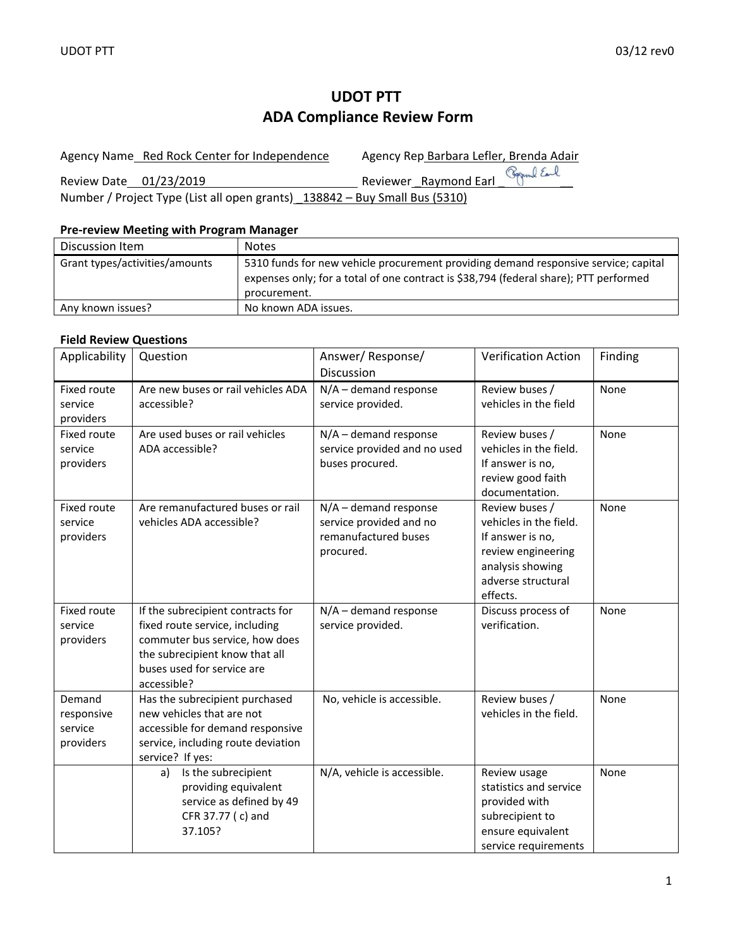# **UDOT PTT ADA Compliance Review Form**

| Agency Name Red Rock Center for Independence                               | Agency Rep Barbara Lefler, Brenda Adair |
|----------------------------------------------------------------------------|-----------------------------------------|
| Review Date 01/23/2019                                                     | Regend Earl<br>Reviewer Raymond Earl    |
| Number / Project Type (List all open grants) 138842 - Buy Small Bus (5310) |                                         |

#### **Pre-review Meeting with Program Manager**

| Discussion Item                | <b>Notes</b>                                                                                                                                                                                 |
|--------------------------------|----------------------------------------------------------------------------------------------------------------------------------------------------------------------------------------------|
| Grant types/activities/amounts | 5310 funds for new vehicle procurement providing demand responsive service; capital<br>expenses only; for a total of one contract is \$38,794 (federal share); PTT performed<br>procurement. |
| Any known issues?              | No known ADA issues.                                                                                                                                                                         |

| Applicability                                | Question                                                                                                                                                                             | Answer/Response/<br><b>Discussion</b>                                                   | <b>Verification Action</b>                                                                                                               | Finding |
|----------------------------------------------|--------------------------------------------------------------------------------------------------------------------------------------------------------------------------------------|-----------------------------------------------------------------------------------------|------------------------------------------------------------------------------------------------------------------------------------------|---------|
| Fixed route<br>service<br>providers          | Are new buses or rail vehicles ADA<br>accessible?                                                                                                                                    | N/A - demand response<br>service provided.                                              | Review buses /<br>vehicles in the field                                                                                                  | None    |
| Fixed route<br>service<br>providers          | Are used buses or rail vehicles<br>ADA accessible?                                                                                                                                   | $N/A$ – demand response<br>service provided and no used<br>buses procured.              | Review buses /<br>vehicles in the field.<br>If answer is no,<br>review good faith<br>documentation.                                      | None    |
| Fixed route<br>service<br>providers          | Are remanufactured buses or rail<br>vehicles ADA accessible?                                                                                                                         | $N/A$ – demand response<br>service provided and no<br>remanufactured buses<br>procured. | Review buses /<br>vehicles in the field.<br>If answer is no,<br>review engineering<br>analysis showing<br>adverse structural<br>effects. | None    |
| Fixed route<br>service<br>providers          | If the subrecipient contracts for<br>fixed route service, including<br>commuter bus service, how does<br>the subrecipient know that all<br>buses used for service are<br>accessible? | N/A - demand response<br>service provided.                                              | Discuss process of<br>verification.                                                                                                      | None    |
| Demand<br>responsive<br>service<br>providers | Has the subrecipient purchased<br>new vehicles that are not<br>accessible for demand responsive<br>service, including route deviation<br>service? If yes:                            | No, vehicle is accessible.                                                              | Review buses /<br>vehicles in the field.                                                                                                 | None    |
|                                              | Is the subrecipient<br>a)<br>providing equivalent<br>service as defined by 49<br>CFR 37.77 (c) and<br>37.105?                                                                        | N/A, vehicle is accessible.                                                             | Review usage<br>statistics and service<br>provided with<br>subrecipient to<br>ensure equivalent<br>service requirements                  | None    |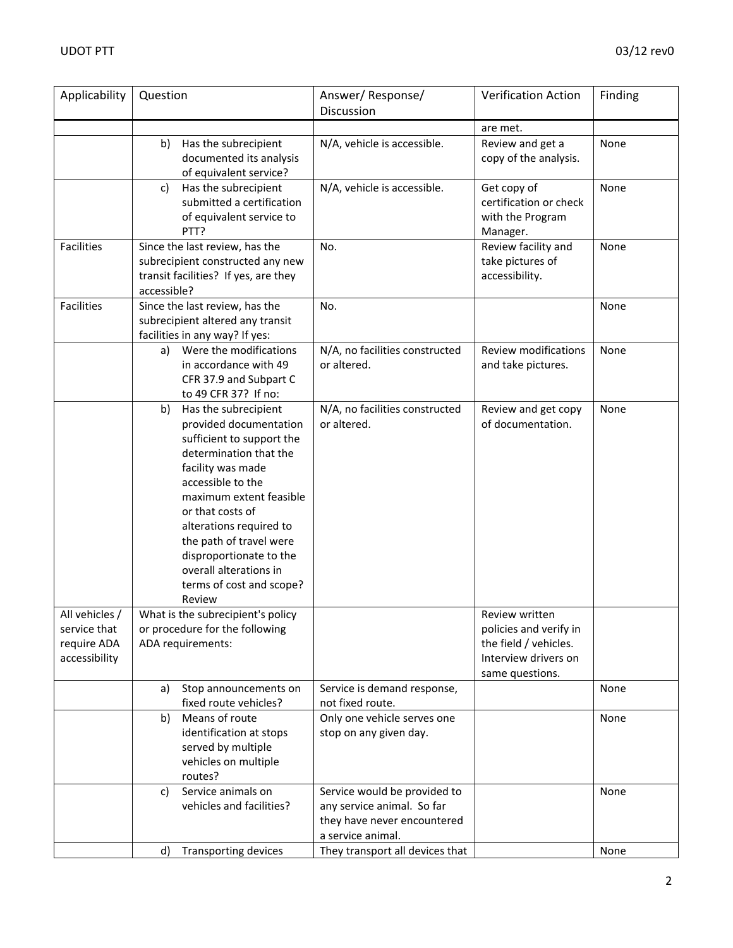| Applicability     | Question       |                                                   | Answer/Response/<br>Discussion  | <b>Verification Action</b>  | Finding |
|-------------------|----------------|---------------------------------------------------|---------------------------------|-----------------------------|---------|
|                   |                |                                                   |                                 |                             |         |
|                   |                |                                                   |                                 | are met.                    |         |
|                   | b)             | Has the subrecipient                              | N/A, vehicle is accessible.     | Review and get a            | None    |
|                   |                | documented its analysis<br>of equivalent service? |                                 | copy of the analysis.       |         |
|                   | $\mathsf{c}$ ) | Has the subrecipient                              | N/A, vehicle is accessible.     | Get copy of                 | None    |
|                   |                | submitted a certification                         |                                 | certification or check      |         |
|                   |                | of equivalent service to                          |                                 | with the Program            |         |
|                   |                | PTT?                                              |                                 | Manager.                    |         |
| <b>Facilities</b> |                | Since the last review, has the                    | No.                             | Review facility and         | None    |
|                   |                | subrecipient constructed any new                  |                                 | take pictures of            |         |
|                   |                | transit facilities? If yes, are they              |                                 | accessibility.              |         |
|                   | accessible?    |                                                   |                                 |                             |         |
| <b>Facilities</b> |                | Since the last review, has the                    | No.                             |                             | None    |
|                   |                | subrecipient altered any transit                  |                                 |                             |         |
|                   |                | facilities in any way? If yes:                    |                                 |                             |         |
|                   | a)             | Were the modifications                            | N/A, no facilities constructed  | <b>Review modifications</b> | None    |
|                   |                | in accordance with 49                             | or altered.                     | and take pictures.          |         |
|                   |                | CFR 37.9 and Subpart C                            |                                 |                             |         |
|                   |                | to 49 CFR 37? If no:                              |                                 |                             |         |
|                   | b)             | Has the subrecipient                              | N/A, no facilities constructed  | Review and get copy         | None    |
|                   |                | provided documentation                            | or altered.                     | of documentation.           |         |
|                   |                | sufficient to support the                         |                                 |                             |         |
|                   |                | determination that the                            |                                 |                             |         |
|                   |                | facility was made                                 |                                 |                             |         |
|                   |                | accessible to the                                 |                                 |                             |         |
|                   |                | maximum extent feasible                           |                                 |                             |         |
|                   |                | or that costs of                                  |                                 |                             |         |
|                   |                | alterations required to                           |                                 |                             |         |
|                   |                | the path of travel were                           |                                 |                             |         |
|                   |                | disproportionate to the                           |                                 |                             |         |
|                   |                | overall alterations in                            |                                 |                             |         |
|                   |                | terms of cost and scope?                          |                                 |                             |         |
|                   |                | Review                                            |                                 |                             |         |
| All vehicles /    |                | What is the subrecipient's policy                 |                                 | Review written              |         |
| service that      |                | or procedure for the following                    |                                 | policies and verify in      |         |
| require ADA       |                | ADA requirements:                                 |                                 | the field / vehicles.       |         |
| accessibility     |                |                                                   |                                 | Interview drivers on        |         |
|                   |                |                                                   |                                 | same questions.             |         |
|                   | a)             | Stop announcements on                             | Service is demand response,     |                             | None    |
|                   |                | fixed route vehicles?                             | not fixed route.                |                             |         |
|                   | b)             | Means of route                                    | Only one vehicle serves one     |                             | None    |
|                   |                | identification at stops                           | stop on any given day.          |                             |         |
|                   |                | served by multiple                                |                                 |                             |         |
|                   |                | vehicles on multiple                              |                                 |                             |         |
|                   |                | routes?                                           |                                 |                             |         |
|                   | c)             | Service animals on                                | Service would be provided to    |                             | None    |
|                   |                | vehicles and facilities?                          | any service animal. So far      |                             |         |
|                   |                |                                                   | they have never encountered     |                             |         |
|                   |                |                                                   | a service animal.               |                             |         |
|                   | d)             | Transporting devices                              | They transport all devices that |                             | None    |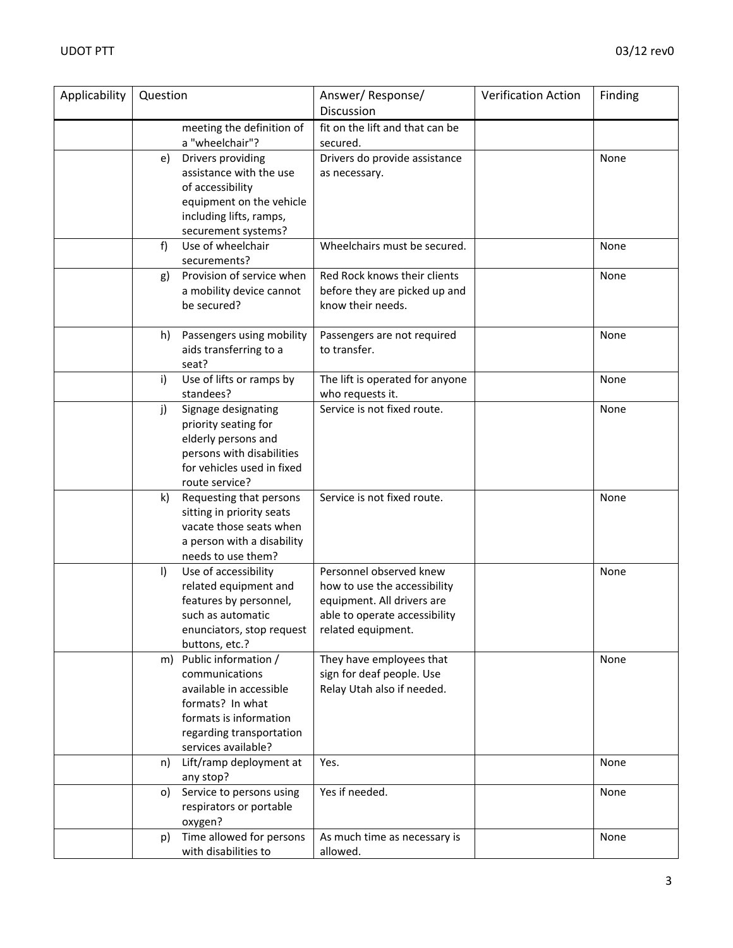| Applicability | Question     |                                                                                                                                                                       | Answer/Response/                                                                                                                             | <b>Verification Action</b> | Finding |
|---------------|--------------|-----------------------------------------------------------------------------------------------------------------------------------------------------------------------|----------------------------------------------------------------------------------------------------------------------------------------------|----------------------------|---------|
|               |              |                                                                                                                                                                       | Discussion                                                                                                                                   |                            |         |
|               |              | meeting the definition of<br>a "wheelchair"?                                                                                                                          | fit on the lift and that can be<br>secured.                                                                                                  |                            |         |
|               | e)           | Drivers providing<br>assistance with the use<br>of accessibility<br>equipment on the vehicle<br>including lifts, ramps,<br>securement systems?                        | Drivers do provide assistance<br>as necessary.                                                                                               |                            | None    |
|               | f            | Use of wheelchair<br>securements?                                                                                                                                     | Wheelchairs must be secured.                                                                                                                 |                            | None    |
|               | g)           | Provision of service when<br>a mobility device cannot<br>be secured?                                                                                                  | Red Rock knows their clients<br>before they are picked up and<br>know their needs.                                                           |                            | None    |
|               | h)           | Passengers using mobility<br>aids transferring to a<br>seat?                                                                                                          | Passengers are not required<br>to transfer.                                                                                                  |                            | None    |
|               | i)           | Use of lifts or ramps by<br>standees?                                                                                                                                 | The lift is operated for anyone<br>who requests it.                                                                                          |                            | None    |
|               | j)           | Signage designating<br>priority seating for<br>elderly persons and<br>persons with disabilities<br>for vehicles used in fixed<br>route service?                       | Service is not fixed route.                                                                                                                  |                            | None    |
|               | $\mathsf{k}$ | Requesting that persons<br>sitting in priority seats<br>vacate those seats when<br>a person with a disability<br>needs to use them?                                   | Service is not fixed route.                                                                                                                  |                            | None    |
|               | $\vert$      | Use of accessibility<br>related equipment and<br>features by personnel,<br>such as automatic<br>enunciators, stop request<br>buttons, etc.?                           | Personnel observed knew<br>how to use the accessibility<br>equipment. All drivers are<br>able to operate accessibility<br>related equipment. |                            | None    |
|               |              | m) Public information /<br>communications<br>available in accessible<br>formats? In what<br>formats is information<br>regarding transportation<br>services available? | They have employees that<br>sign for deaf people. Use<br>Relay Utah also if needed.                                                          |                            | None    |
|               | n)           | Lift/ramp deployment at<br>any stop?                                                                                                                                  | Yes.                                                                                                                                         |                            | None    |
|               | o)           | Service to persons using<br>respirators or portable<br>oxygen?                                                                                                        | Yes if needed.                                                                                                                               |                            | None    |
|               | p)           | Time allowed for persons<br>with disabilities to                                                                                                                      | As much time as necessary is<br>allowed.                                                                                                     |                            | None    |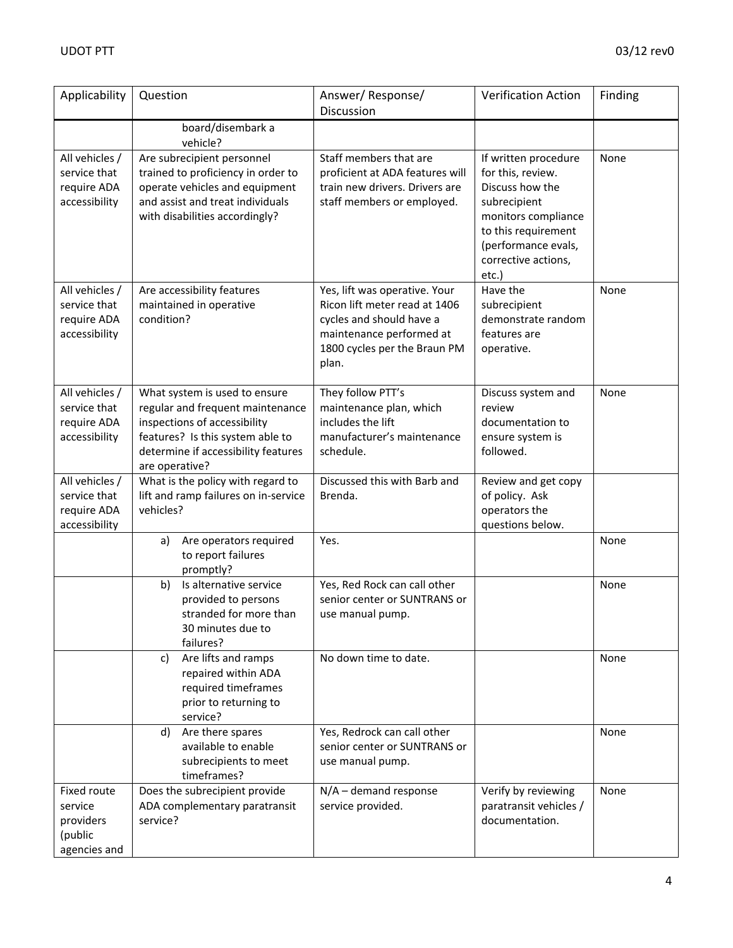| Applicability                                                  | Question                                                                                                                                                                                       | Answer/Response/<br>Discussion                                                                                                                                  | <b>Verification Action</b>                                                                                                                                                        | Finding |
|----------------------------------------------------------------|------------------------------------------------------------------------------------------------------------------------------------------------------------------------------------------------|-----------------------------------------------------------------------------------------------------------------------------------------------------------------|-----------------------------------------------------------------------------------------------------------------------------------------------------------------------------------|---------|
|                                                                | board/disembark a<br>vehicle?                                                                                                                                                                  |                                                                                                                                                                 |                                                                                                                                                                                   |         |
| All vehicles /<br>service that<br>require ADA<br>accessibility | Are subrecipient personnel<br>trained to proficiency in order to<br>operate vehicles and equipment<br>and assist and treat individuals<br>with disabilities accordingly?                       | Staff members that are<br>proficient at ADA features will<br>train new drivers. Drivers are<br>staff members or employed.                                       | If written procedure<br>for this, review.<br>Discuss how the<br>subrecipient<br>monitors compliance<br>to this requirement<br>(performance evals,<br>corrective actions,<br>etc.) | None    |
| All vehicles /<br>service that<br>require ADA<br>accessibility | Are accessibility features<br>maintained in operative<br>condition?                                                                                                                            | Yes, lift was operative. Your<br>Ricon lift meter read at 1406<br>cycles and should have a<br>maintenance performed at<br>1800 cycles per the Braun PM<br>plan. | Have the<br>subrecipient<br>demonstrate random<br>features are<br>operative.                                                                                                      | None    |
| All vehicles /<br>service that<br>require ADA<br>accessibility | What system is used to ensure<br>regular and frequent maintenance<br>inspections of accessibility<br>features? Is this system able to<br>determine if accessibility features<br>are operative? | They follow PTT's<br>maintenance plan, which<br>includes the lift<br>manufacturer's maintenance<br>schedule.                                                    | Discuss system and<br>review<br>documentation to<br>ensure system is<br>followed.                                                                                                 | None    |
| All vehicles /<br>service that<br>require ADA<br>accessibility | What is the policy with regard to<br>lift and ramp failures on in-service<br>vehicles?                                                                                                         | Discussed this with Barb and<br>Brenda.                                                                                                                         | Review and get copy<br>of policy. Ask<br>operators the<br>questions below.                                                                                                        |         |
|                                                                | Are operators required<br>a)<br>to report failures<br>promptly?                                                                                                                                | Yes.                                                                                                                                                            |                                                                                                                                                                                   | None    |
|                                                                | b)<br>Is alternative service<br>provided to persons<br>stranded for more than<br>30 minutes due to<br>failures?                                                                                | Yes, Red Rock can call other<br>senior center or SUNTRANS or<br>use manual pump.                                                                                |                                                                                                                                                                                   | None    |
|                                                                | Are lifts and ramps<br>c)<br>repaired within ADA<br>required timeframes<br>prior to returning to<br>service?                                                                                   | No down time to date.                                                                                                                                           |                                                                                                                                                                                   | None    |
|                                                                | d) Are there spares<br>available to enable<br>subrecipients to meet<br>timeframes?                                                                                                             | Yes, Redrock can call other<br>senior center or SUNTRANS or<br>use manual pump.                                                                                 |                                                                                                                                                                                   | None    |
| Fixed route<br>service<br>providers<br>(public<br>agencies and | Does the subrecipient provide<br>ADA complementary paratransit<br>service?                                                                                                                     | $N/A$ – demand response<br>service provided.                                                                                                                    | Verify by reviewing<br>paratransit vehicles /<br>documentation.                                                                                                                   | None    |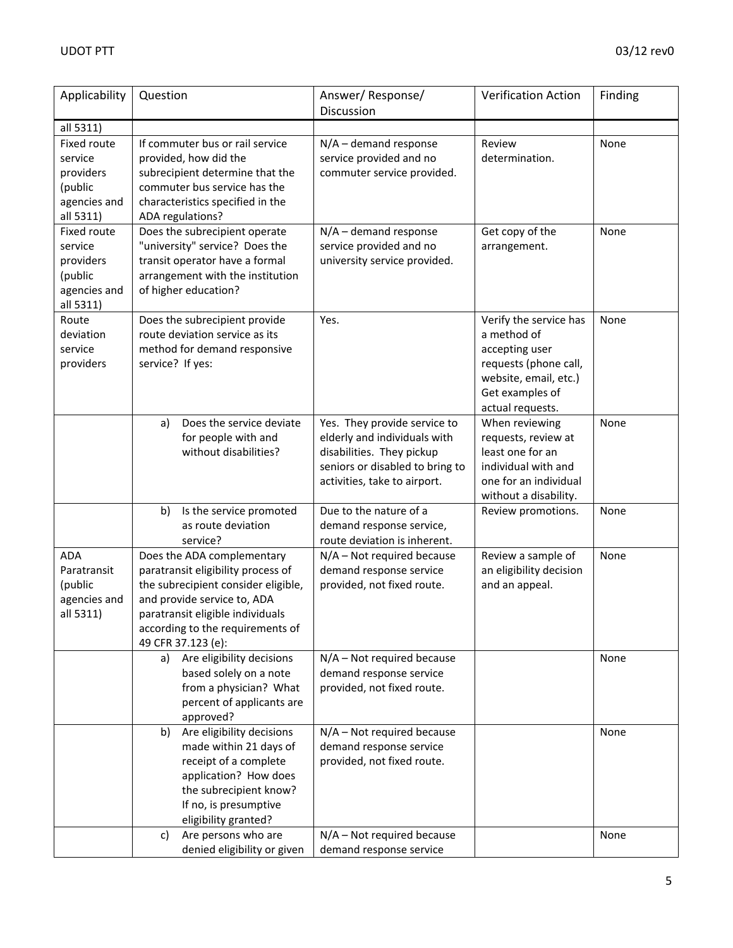| Applicability                                                               | Question                                                                                                                                                                                                                             | Answer/Response/<br>Discussion                                                                                                                               | <b>Verification Action</b>                                                                                                                       | Finding |
|-----------------------------------------------------------------------------|--------------------------------------------------------------------------------------------------------------------------------------------------------------------------------------------------------------------------------------|--------------------------------------------------------------------------------------------------------------------------------------------------------------|--------------------------------------------------------------------------------------------------------------------------------------------------|---------|
| all 5311)                                                                   |                                                                                                                                                                                                                                      |                                                                                                                                                              |                                                                                                                                                  |         |
| Fixed route<br>service<br>providers<br>(public<br>agencies and<br>all 5311) | If commuter bus or rail service<br>provided, how did the<br>subrecipient determine that the<br>commuter bus service has the<br>characteristics specified in the<br>ADA regulations?                                                  | $N/A$ – demand response<br>service provided and no<br>commuter service provided.                                                                             | Review<br>determination.                                                                                                                         | None    |
| Fixed route<br>service<br>providers<br>(public<br>agencies and<br>all 5311) | Does the subrecipient operate<br>"university" service? Does the<br>transit operator have a formal<br>arrangement with the institution<br>of higher education?                                                                        | $N/A$ – demand response<br>service provided and no<br>university service provided.                                                                           | Get copy of the<br>arrangement.                                                                                                                  | None    |
| Route<br>deviation<br>service<br>providers                                  | Does the subrecipient provide<br>route deviation service as its<br>method for demand responsive<br>service? If yes:                                                                                                                  | Yes.                                                                                                                                                         | Verify the service has<br>a method of<br>accepting user<br>requests (phone call,<br>website, email, etc.)<br>Get examples of<br>actual requests. | None    |
|                                                                             | Does the service deviate<br>a)<br>for people with and<br>without disabilities?                                                                                                                                                       | Yes. They provide service to<br>elderly and individuals with<br>disabilities. They pickup<br>seniors or disabled to bring to<br>activities, take to airport. | When reviewing<br>requests, review at<br>least one for an<br>individual with and<br>one for an individual<br>without a disability.               | None    |
|                                                                             | b)<br>Is the service promoted<br>as route deviation<br>service?                                                                                                                                                                      | Due to the nature of a<br>demand response service,<br>route deviation is inherent.                                                                           | Review promotions.                                                                                                                               | None    |
| <b>ADA</b><br>Paratransit<br>(public<br>agencies and<br>all 5311)           | Does the ADA complementary<br>paratransit eligibility process of<br>the subrecipient consider eligible,<br>and provide service to, ADA<br>paratransit eligible individuals<br>according to the requirements of<br>49 CFR 37.123 (e): | $N/A$ – Not required because<br>demand response service<br>provided, not fixed route.                                                                        | Review a sample of<br>an eligibility decision<br>and an appeal.                                                                                  | None    |
|                                                                             | Are eligibility decisions<br>a)<br>based solely on a note<br>from a physician? What<br>percent of applicants are<br>approved?                                                                                                        | N/A - Not required because<br>demand response service<br>provided, not fixed route.                                                                          |                                                                                                                                                  | None    |
|                                                                             | Are eligibility decisions<br>b)<br>made within 21 days of<br>receipt of a complete<br>application? How does<br>the subrecipient know?<br>If no, is presumptive<br>eligibility granted?                                               | N/A - Not required because<br>demand response service<br>provided, not fixed route.                                                                          |                                                                                                                                                  | None    |
|                                                                             | Are persons who are<br>c)<br>denied eligibility or given                                                                                                                                                                             | N/A - Not required because<br>demand response service                                                                                                        |                                                                                                                                                  | None    |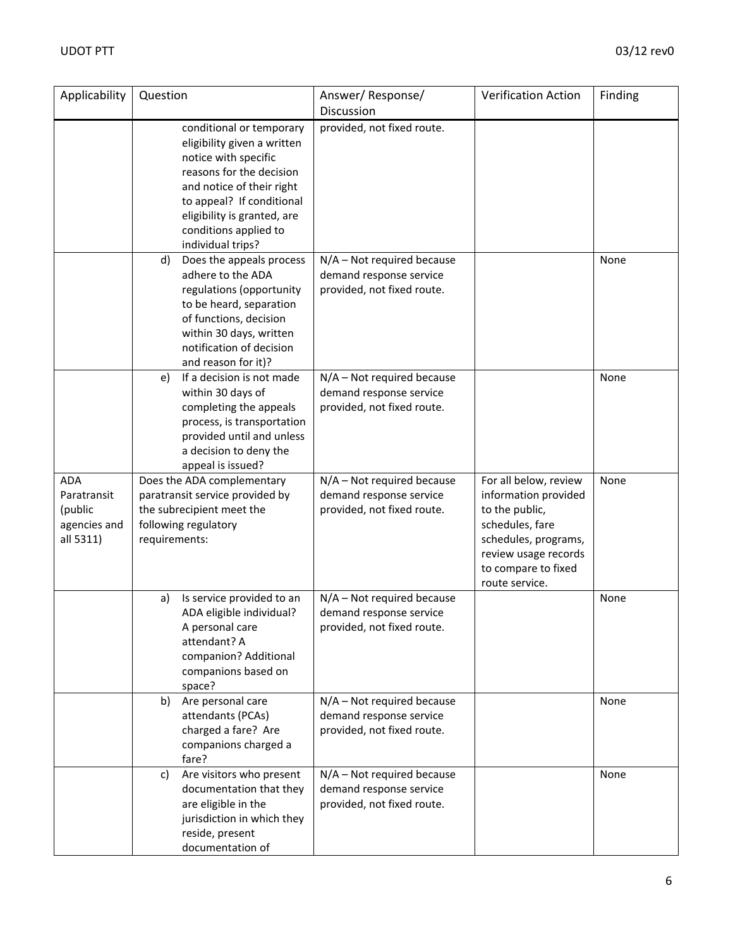| Applicability                                                     | Question                                                                                                                                                                                                                                                                             | Answer/Response/                                                                      | <b>Verification Action</b>                                                                                                                                                  | Finding |
|-------------------------------------------------------------------|--------------------------------------------------------------------------------------------------------------------------------------------------------------------------------------------------------------------------------------------------------------------------------------|---------------------------------------------------------------------------------------|-----------------------------------------------------------------------------------------------------------------------------------------------------------------------------|---------|
|                                                                   |                                                                                                                                                                                                                                                                                      | Discussion                                                                            |                                                                                                                                                                             |         |
|                                                                   | conditional or temporary<br>eligibility given a written<br>notice with specific<br>reasons for the decision<br>and notice of their right<br>to appeal? If conditional<br>eligibility is granted, are<br>conditions applied to<br>individual trips?<br>Does the appeals process<br>d) | provided, not fixed route.<br>N/A - Not required because                              |                                                                                                                                                                             | None    |
|                                                                   | adhere to the ADA<br>regulations (opportunity<br>to be heard, separation<br>of functions, decision<br>within 30 days, written<br>notification of decision<br>and reason for it)?                                                                                                     | demand response service<br>provided, not fixed route.                                 |                                                                                                                                                                             |         |
|                                                                   | If a decision is not made<br>e)<br>within 30 days of<br>completing the appeals<br>process, is transportation<br>provided until and unless<br>a decision to deny the<br>appeal is issued?                                                                                             | $N/A$ – Not required because<br>demand response service<br>provided, not fixed route. |                                                                                                                                                                             | None    |
| <b>ADA</b><br>Paratransit<br>(public<br>agencies and<br>all 5311) | Does the ADA complementary<br>paratransit service provided by<br>the subrecipient meet the<br>following regulatory<br>requirements:                                                                                                                                                  | $N/A$ – Not required because<br>demand response service<br>provided, not fixed route. | For all below, review<br>information provided<br>to the public,<br>schedules, fare<br>schedules, programs,<br>review usage records<br>to compare to fixed<br>route service. | None    |
|                                                                   | Is service provided to an<br>a)<br>ADA eligible individual?<br>A personal care<br>attendant? A<br>companion? Additional<br>companions based on<br>space?                                                                                                                             | N/A - Not required because<br>demand response service<br>provided, not fixed route.   |                                                                                                                                                                             | None    |
|                                                                   | b) Are personal care<br>attendants (PCAs)<br>charged a fare? Are<br>companions charged a<br>fare?                                                                                                                                                                                    | N/A - Not required because<br>demand response service<br>provided, not fixed route.   |                                                                                                                                                                             | None    |
|                                                                   | Are visitors who present<br>c)<br>documentation that they<br>are eligible in the<br>jurisdiction in which they<br>reside, present<br>documentation of                                                                                                                                | $N/A$ – Not required because<br>demand response service<br>provided, not fixed route. |                                                                                                                                                                             | None    |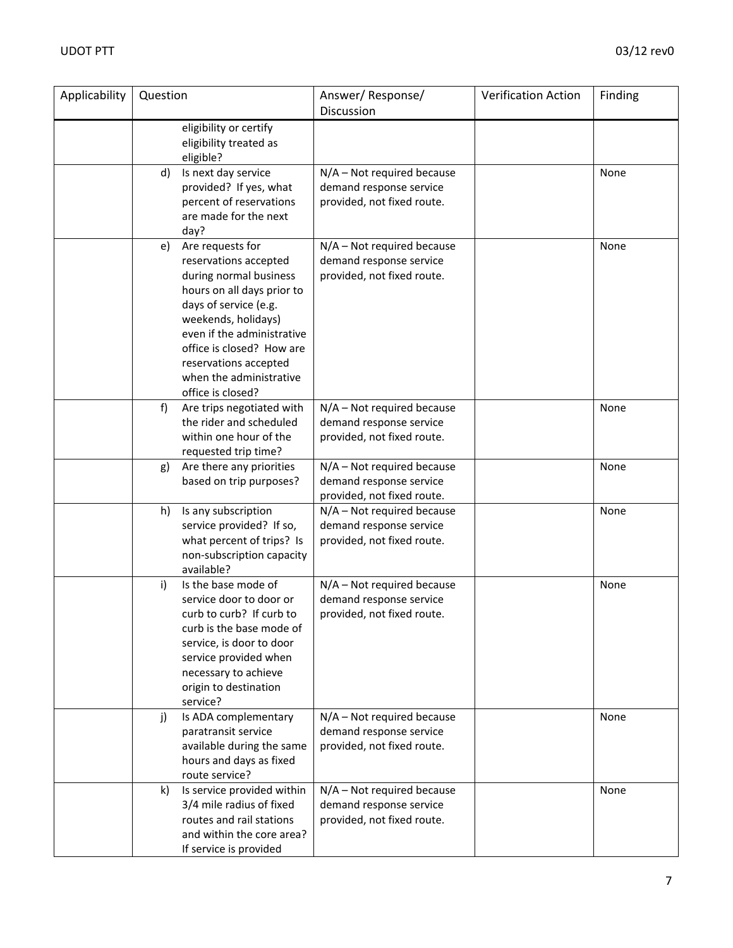| Applicability | Question |                                                                                                                                                                                                                                                                                       | Answer/Response/<br>Discussion                                                        | <b>Verification Action</b> | Finding |
|---------------|----------|---------------------------------------------------------------------------------------------------------------------------------------------------------------------------------------------------------------------------------------------------------------------------------------|---------------------------------------------------------------------------------------|----------------------------|---------|
|               |          | eligibility or certify<br>eligibility treated as<br>eligible?                                                                                                                                                                                                                         |                                                                                       |                            |         |
|               | d)       | Is next day service<br>provided? If yes, what<br>percent of reservations<br>are made for the next<br>day?                                                                                                                                                                             | N/A - Not required because<br>demand response service<br>provided, not fixed route.   |                            | None    |
|               | e)       | Are requests for<br>reservations accepted<br>during normal business<br>hours on all days prior to<br>days of service (e.g.<br>weekends, holidays)<br>even if the administrative<br>office is closed? How are<br>reservations accepted<br>when the administrative<br>office is closed? | N/A - Not required because<br>demand response service<br>provided, not fixed route.   |                            | None    |
|               | f)       | Are trips negotiated with<br>the rider and scheduled<br>within one hour of the<br>requested trip time?                                                                                                                                                                                | $N/A$ – Not required because<br>demand response service<br>provided, not fixed route. |                            | None    |
|               | g)       | Are there any priorities<br>based on trip purposes?                                                                                                                                                                                                                                   | N/A - Not required because<br>demand response service<br>provided, not fixed route.   |                            | None    |
|               | h)       | Is any subscription<br>service provided? If so,<br>what percent of trips? Is<br>non-subscription capacity<br>available?                                                                                                                                                               | N/A - Not required because<br>demand response service<br>provided, not fixed route.   |                            | None    |
|               | i)       | Is the base mode of<br>service door to door or<br>curb to curb? If curb to<br>curb is the base mode of<br>service, is door to door<br>service provided when<br>necessary to achieve<br>origin to destination<br>service?                                                              | $N/A$ – Not required because<br>demand response service<br>provided, not fixed route. |                            | None    |
|               | j)       | Is ADA complementary<br>paratransit service<br>available during the same<br>hours and days as fixed<br>route service?                                                                                                                                                                 | $N/A$ – Not required because<br>demand response service<br>provided, not fixed route. |                            | None    |
|               | k)       | Is service provided within<br>3/4 mile radius of fixed<br>routes and rail stations<br>and within the core area?<br>If service is provided                                                                                                                                             | $N/A$ – Not required because<br>demand response service<br>provided, not fixed route. |                            | None    |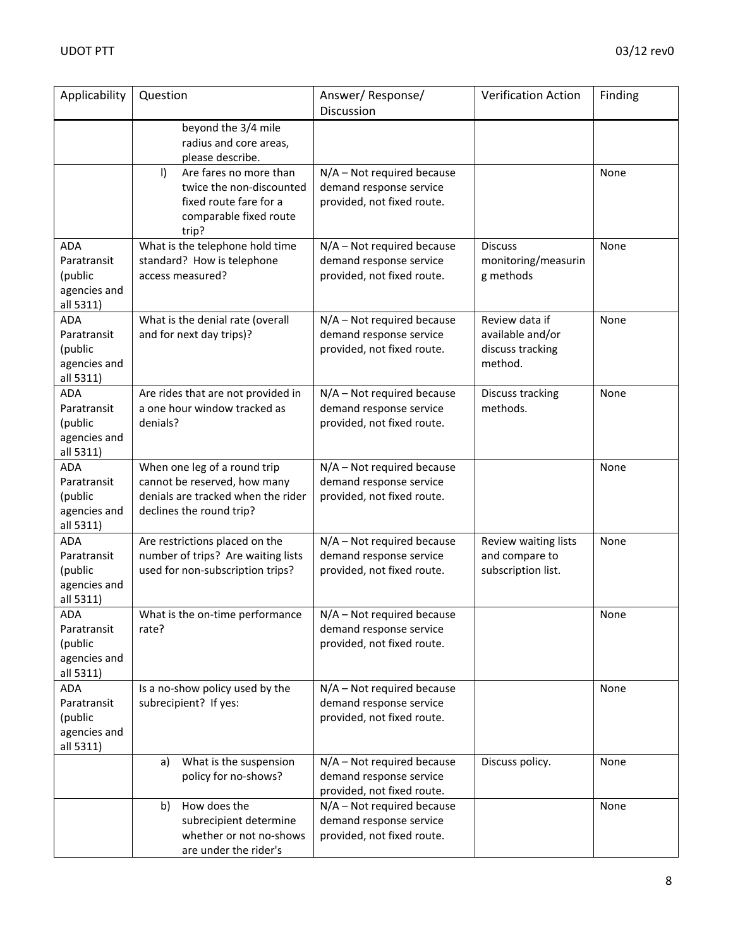| Applicability                                                     | Question                                                                                                                       | Answer/Response/<br>Discussion                                                        | <b>Verification Action</b>                                        | Finding |
|-------------------------------------------------------------------|--------------------------------------------------------------------------------------------------------------------------------|---------------------------------------------------------------------------------------|-------------------------------------------------------------------|---------|
|                                                                   | beyond the 3/4 mile<br>radius and core areas,<br>please describe.                                                              |                                                                                       |                                                                   |         |
|                                                                   | $\vert$<br>Are fares no more than<br>twice the non-discounted<br>fixed route fare for a<br>comparable fixed route<br>trip?     | N/A - Not required because<br>demand response service<br>provided, not fixed route.   |                                                                   | None    |
| <b>ADA</b><br>Paratransit<br>(public<br>agencies and<br>all 5311) | What is the telephone hold time<br>standard? How is telephone<br>access measured?                                              | N/A - Not required because<br>demand response service<br>provided, not fixed route.   | <b>Discuss</b><br>monitoring/measurin<br>g methods                | None    |
| <b>ADA</b><br>Paratransit<br>(public<br>agencies and<br>all 5311) | What is the denial rate (overall<br>and for next day trips)?                                                                   | N/A - Not required because<br>demand response service<br>provided, not fixed route.   | Review data if<br>available and/or<br>discuss tracking<br>method. | None    |
| <b>ADA</b><br>Paratransit<br>(public<br>agencies and<br>all 5311) | Are rides that are not provided in<br>a one hour window tracked as<br>denials?                                                 | N/A - Not required because<br>demand response service<br>provided, not fixed route.   | Discuss tracking<br>methods.                                      | None    |
| <b>ADA</b><br>Paratransit<br>(public<br>agencies and<br>all 5311) | When one leg of a round trip<br>cannot be reserved, how many<br>denials are tracked when the rider<br>declines the round trip? | N/A - Not required because<br>demand response service<br>provided, not fixed route.   |                                                                   | None    |
| <b>ADA</b><br>Paratransit<br>(public<br>agencies and<br>all 5311) | Are restrictions placed on the<br>number of trips? Are waiting lists<br>used for non-subscription trips?                       | N/A - Not required because<br>demand response service<br>provided, not fixed route.   | Review waiting lists<br>and compare to<br>subscription list.      | None    |
| <b>ADA</b><br>Paratransit<br>(public<br>agencies and<br>all 5311) | What is the on-time performance<br>rate?                                                                                       | $N/A$ – Not required because<br>demand response service<br>provided, not fixed route. |                                                                   | None    |
| <b>ADA</b><br>Paratransit<br>(public<br>agencies and<br>all 5311) | Is a no-show policy used by the<br>subrecipient? If yes:                                                                       | $N/A$ – Not required because<br>demand response service<br>provided, not fixed route. |                                                                   | None    |
|                                                                   | What is the suspension<br>a)<br>policy for no-shows?                                                                           | N/A - Not required because<br>demand response service<br>provided, not fixed route.   | Discuss policy.                                                   | None    |
|                                                                   | How does the<br>b)<br>subrecipient determine<br>whether or not no-shows<br>are under the rider's                               | N/A - Not required because<br>demand response service<br>provided, not fixed route.   |                                                                   | None    |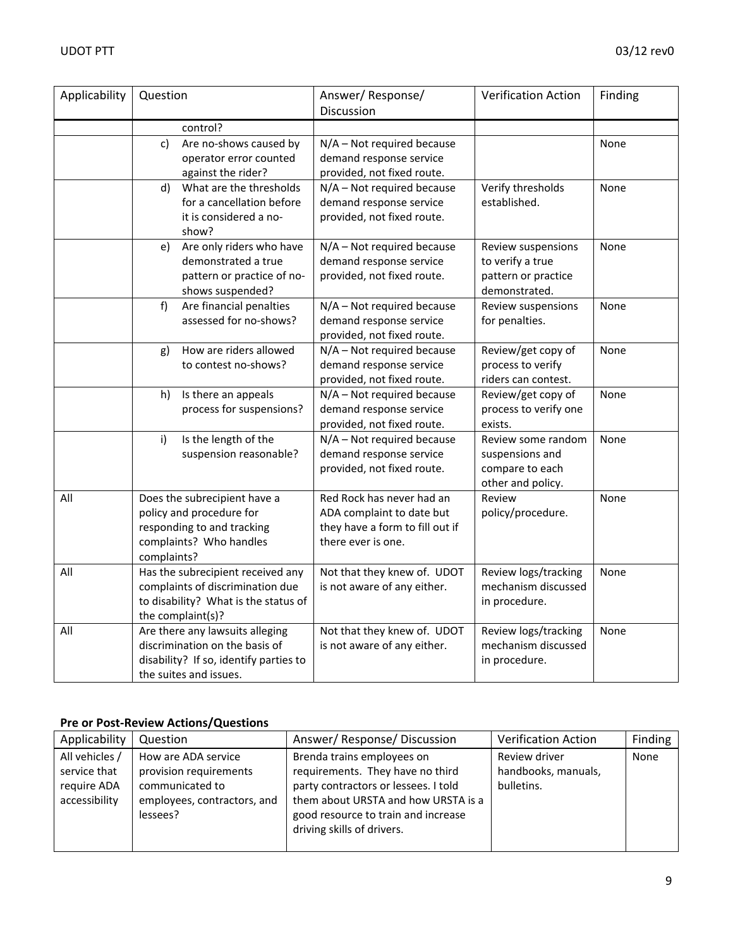| Applicability | Question     |                                                                                                                                       | Answer/Response/<br>Discussion                                                                                  | <b>Verification Action</b>                                                     | Finding |
|---------------|--------------|---------------------------------------------------------------------------------------------------------------------------------------|-----------------------------------------------------------------------------------------------------------------|--------------------------------------------------------------------------------|---------|
|               |              | control?                                                                                                                              |                                                                                                                 |                                                                                |         |
|               | c)           | Are no-shows caused by<br>operator error counted<br>against the rider?                                                                | $N/A$ – Not required because<br>demand response service<br>provided, not fixed route.                           |                                                                                | None    |
|               | $\mathsf{d}$ | What are the thresholds<br>for a cancellation before<br>it is considered a no-<br>show?                                               | N/A - Not required because<br>demand response service<br>provided, not fixed route.                             | Verify thresholds<br>established.                                              | None    |
|               | e)           | Are only riders who have<br>demonstrated a true<br>pattern or practice of no-<br>shows suspended?                                     | N/A - Not required because<br>demand response service<br>provided, not fixed route.                             | Review suspensions<br>to verify a true<br>pattern or practice<br>demonstrated. | None    |
|               | f            | Are financial penalties<br>assessed for no-shows?                                                                                     | N/A - Not required because<br>demand response service<br>provided, not fixed route.                             | Review suspensions<br>for penalties.                                           | None    |
|               | g)           | How are riders allowed<br>to contest no-shows?                                                                                        | N/A - Not required because<br>demand response service<br>provided, not fixed route.                             | Review/get copy of<br>process to verify<br>riders can contest.                 | None    |
|               | h)           | Is there an appeals<br>process for suspensions?                                                                                       | N/A - Not required because<br>demand response service<br>provided, not fixed route.                             | Review/get copy of<br>process to verify one<br>exists.                         | None    |
|               | i)           | Is the length of the<br>suspension reasonable?                                                                                        | N/A - Not required because<br>demand response service<br>provided, not fixed route.                             | Review some random<br>suspensions and<br>compare to each<br>other and policy.  | None    |
| All           | complaints?  | Does the subrecipient have a<br>policy and procedure for<br>responding to and tracking<br>complaints? Who handles                     | Red Rock has never had an<br>ADA complaint to date but<br>they have a form to fill out if<br>there ever is one. | Review<br>policy/procedure.                                                    | None    |
| All           |              | Has the subrecipient received any<br>complaints of discrimination due<br>to disability? What is the status of<br>the complaint(s)?    | Not that they knew of. UDOT<br>is not aware of any either.                                                      | Review logs/tracking<br>mechanism discussed<br>in procedure.                   | None    |
| All           |              | Are there any lawsuits alleging<br>discrimination on the basis of<br>disability? If so, identify parties to<br>the suites and issues. | Not that they knew of. UDOT<br>is not aware of any either.                                                      | Review logs/tracking<br>mechanism discussed<br>in procedure.                   | None    |

|                                                                                                                                                                                                                                                                                                                                                                                                                                                           | Applicability | Question | Answer/Response/Discussion | <b>Verification Action</b> | Finding |
|-----------------------------------------------------------------------------------------------------------------------------------------------------------------------------------------------------------------------------------------------------------------------------------------------------------------------------------------------------------------------------------------------------------------------------------------------------------|---------------|----------|----------------------------|----------------------------|---------|
| All vehicles /<br>How are ADA service<br>Review driver<br>Brenda trains employees on<br>service that<br>requirements. They have no third<br>handbooks, manuals,<br>provision requirements<br>party contractors or lessees. I told<br>require ADA<br>communicated to<br>bulletins.<br>them about URSTA and how URSTA is a<br>accessibility<br>employees, contractors, and<br>lessees?<br>good resource to train and increase<br>driving skills of drivers. |               |          |                            |                            | None    |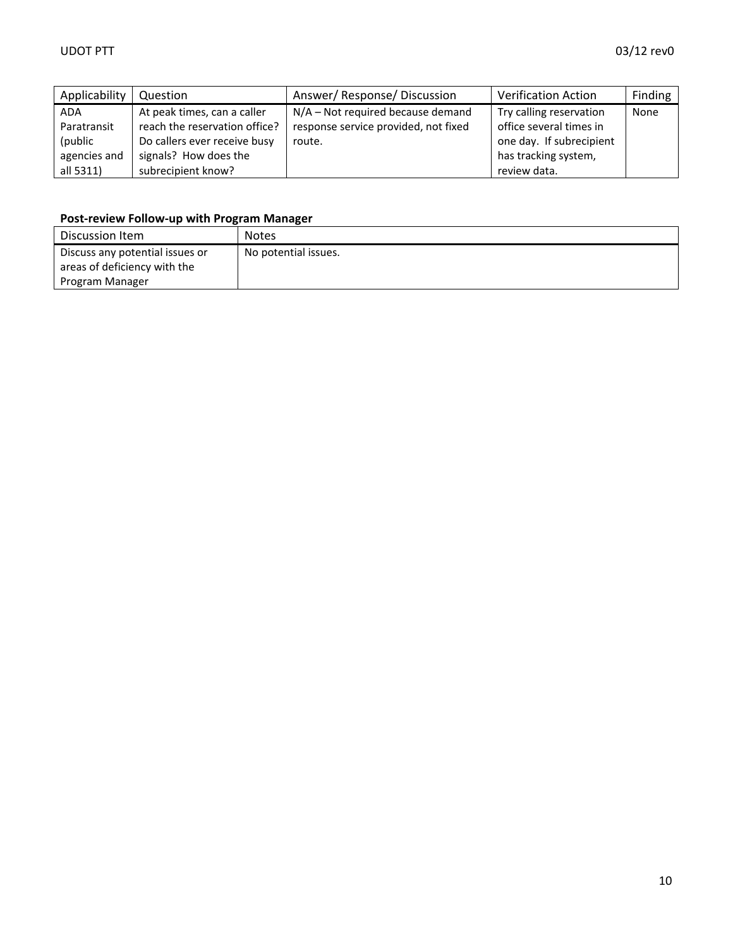| Applicability | Question                      | Answer/Response/Discussion           | <b>Verification Action</b> | Finding |
|---------------|-------------------------------|--------------------------------------|----------------------------|---------|
| <b>ADA</b>    | At peak times, can a caller   | $N/A$ – Not required because demand  | Try calling reservation    | None    |
| Paratransit   | reach the reservation office? | response service provided, not fixed | office several times in    |         |
| (public       | Do callers ever receive busy  | route.                               | one day. If subrecipient   |         |
| agencies and  | signals? How does the         |                                      | has tracking system,       |         |
| all 5311)     | subrecipient know?            |                                      | review data.               |         |

| Discussion Item                                                                    | <b>Notes</b>         |
|------------------------------------------------------------------------------------|----------------------|
| Discuss any potential issues or<br>areas of deficiency with the<br>Program Manager | No potential issues. |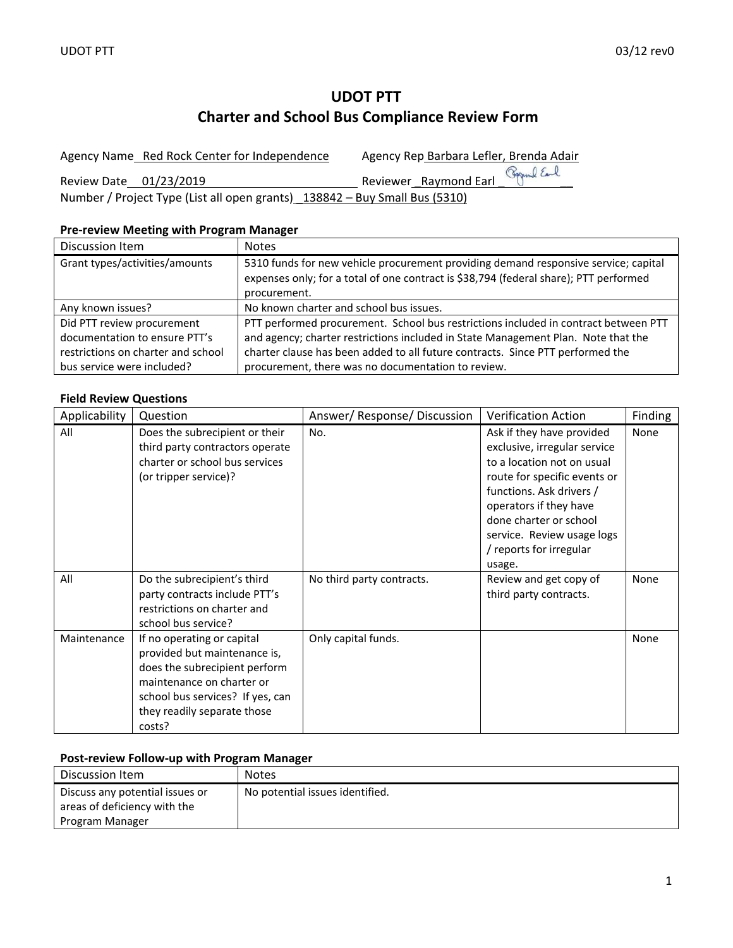# **UDOT PTT Charter and School Bus Compliance Review Form**

|                        | Agency Name Red Rock Center for Independence                               | Agency Rep Barbara Lefler, Brenda Adair |            |
|------------------------|----------------------------------------------------------------------------|-----------------------------------------|------------|
| Review Date 01/23/2019 |                                                                            | Reviewer Raymond Earl                   | Oggme Earl |
|                        | Number / Project Type (List all open grants) 138842 - Buy Small Bus (5310) |                                         |            |

#### **Pre-review Meeting with Program Manager**

| Discussion Item                    | <b>Notes</b>                                                                                                                                                                                 |
|------------------------------------|----------------------------------------------------------------------------------------------------------------------------------------------------------------------------------------------|
| Grant types/activities/amounts     | 5310 funds for new vehicle procurement providing demand responsive service; capital<br>expenses only; for a total of one contract is \$38,794 (federal share); PTT performed<br>procurement. |
| Any known issues?                  | No known charter and school bus issues.                                                                                                                                                      |
| Did PTT review procurement         | PTT performed procurement. School bus restrictions included in contract between PTT                                                                                                          |
| documentation to ensure PTT's      | and agency; charter restrictions included in State Management Plan. Note that the                                                                                                            |
| restrictions on charter and school | charter clause has been added to all future contracts. Since PTT performed the                                                                                                               |
| bus service were included?         | procurement, there was no documentation to review.                                                                                                                                           |

## **Field Review Questions**

| Applicability | Question                                                                                                                                                                                              | Answer/Response/Discussion | <b>Verification Action</b>                                                                                                                                                                                                                                                 | Finding |
|---------------|-------------------------------------------------------------------------------------------------------------------------------------------------------------------------------------------------------|----------------------------|----------------------------------------------------------------------------------------------------------------------------------------------------------------------------------------------------------------------------------------------------------------------------|---------|
| All           | Does the subrecipient or their<br>third party contractors operate<br>charter or school bus services<br>(or tripper service)?                                                                          | No.                        | Ask if they have provided<br>exclusive, irregular service<br>to a location not on usual<br>route for specific events or<br>functions. Ask drivers /<br>operators if they have<br>done charter or school<br>service. Review usage logs<br>/ reports for irregular<br>usage. | None    |
| All           | Do the subrecipient's third<br>party contracts include PTT's<br>restrictions on charter and<br>school bus service?                                                                                    | No third party contracts.  | Review and get copy of<br>third party contracts.                                                                                                                                                                                                                           | None    |
| Maintenance   | If no operating or capital<br>provided but maintenance is,<br>does the subrecipient perform<br>maintenance on charter or<br>school bus services? If yes, can<br>they readily separate those<br>costs? | Only capital funds.        |                                                                                                                                                                                                                                                                            | None    |

| Discussion Item                                                 | <b>Notes</b>                    |
|-----------------------------------------------------------------|---------------------------------|
| Discuss any potential issues or<br>areas of deficiency with the | No potential issues identified. |
|                                                                 |                                 |
| Program Manager                                                 |                                 |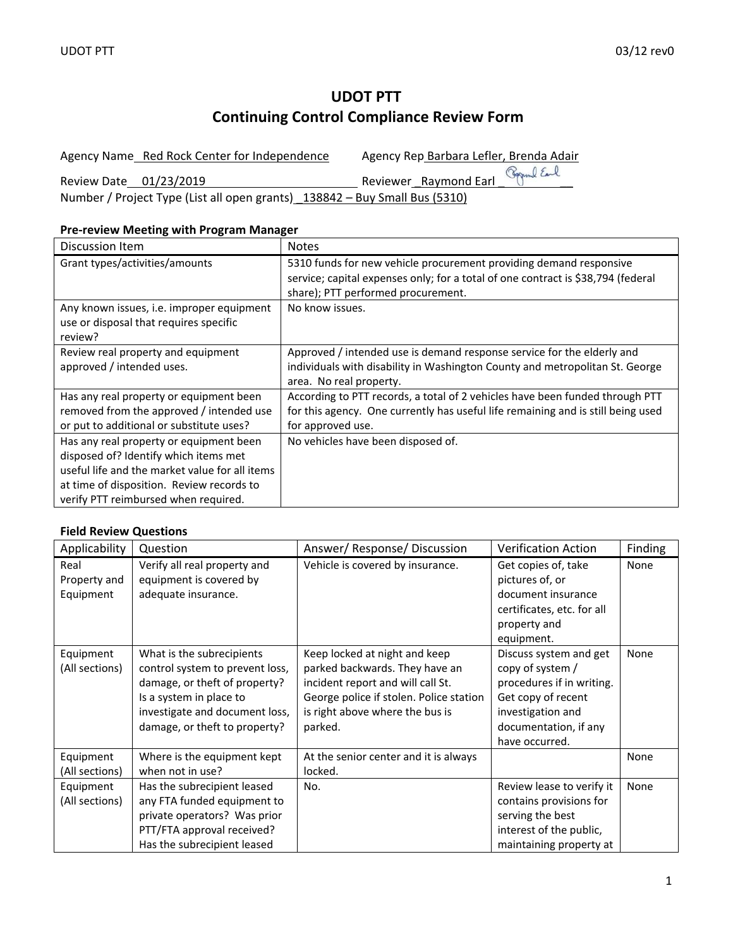# **UDOT PTT Continuing Control Compliance Review Form**

Agency Name<u> Red Rock Center for Independence</u> Agency Rep Barbara Lefler, Brenda Adair<br>Review Rate 2012/2012 Review Date 01/23/2019 **Reviewer Laymond Earl Computer** Number / Project Type (List all open grants) 138842 - Buy Small Bus (5310)

#### **Pre-review Meeting with Program Manager**

| Discussion Item                                | <b>Notes</b>                                                                                                                                                                                 |
|------------------------------------------------|----------------------------------------------------------------------------------------------------------------------------------------------------------------------------------------------|
| Grant types/activities/amounts                 | 5310 funds for new vehicle procurement providing demand responsive<br>service; capital expenses only; for a total of one contract is \$38,794 (federal<br>share); PTT performed procurement. |
| Any known issues, i.e. improper equipment      | No know issues.                                                                                                                                                                              |
| use or disposal that requires specific         |                                                                                                                                                                                              |
| review?                                        |                                                                                                                                                                                              |
| Review real property and equipment             | Approved / intended use is demand response service for the elderly and                                                                                                                       |
| approved / intended uses.                      | individuals with disability in Washington County and metropolitan St. George                                                                                                                 |
|                                                | area. No real property.                                                                                                                                                                      |
| Has any real property or equipment been        | According to PTT records, a total of 2 vehicles have been funded through PTT                                                                                                                 |
| removed from the approved / intended use       | for this agency. One currently has useful life remaining and is still being used                                                                                                             |
| or put to additional or substitute uses?       | for approved use.                                                                                                                                                                            |
| Has any real property or equipment been        | No vehicles have been disposed of.                                                                                                                                                           |
| disposed of? Identify which items met          |                                                                                                                                                                                              |
| useful life and the market value for all items |                                                                                                                                                                                              |
| at time of disposition. Review records to      |                                                                                                                                                                                              |
| verify PTT reimbursed when required.           |                                                                                                                                                                                              |

| Applicability                     | Question                                                                                                                                                                                    | Answer/Response/Discussion                                                                                                                                                                    | <b>Verification Action</b>                                                                                                                                    | Finding |
|-----------------------------------|---------------------------------------------------------------------------------------------------------------------------------------------------------------------------------------------|-----------------------------------------------------------------------------------------------------------------------------------------------------------------------------------------------|---------------------------------------------------------------------------------------------------------------------------------------------------------------|---------|
| Real<br>Property and<br>Equipment | Verify all real property and<br>equipment is covered by<br>adequate insurance.                                                                                                              | Vehicle is covered by insurance.                                                                                                                                                              | Get copies of, take<br>pictures of, or<br>document insurance<br>certificates, etc. for all<br>property and<br>equipment.                                      | None    |
| Equipment<br>(All sections)       | What is the subrecipients<br>control system to prevent loss,<br>damage, or theft of property?<br>Is a system in place to<br>investigate and document loss,<br>damage, or theft to property? | Keep locked at night and keep<br>parked backwards. They have an<br>incident report and will call St.<br>George police if stolen. Police station<br>is right above where the bus is<br>parked. | Discuss system and get<br>copy of system /<br>procedures if in writing.<br>Get copy of recent<br>investigation and<br>documentation, if any<br>have occurred. | None    |
| Equipment<br>(All sections)       | Where is the equipment kept<br>when not in use?                                                                                                                                             | At the senior center and it is always<br>locked.                                                                                                                                              |                                                                                                                                                               | None    |
| Equipment<br>(All sections)       | Has the subrecipient leased<br>any FTA funded equipment to<br>private operators? Was prior<br>PTT/FTA approval received?<br>Has the subrecipient leased                                     | No.                                                                                                                                                                                           | Review lease to verify it<br>contains provisions for<br>serving the best<br>interest of the public,<br>maintaining property at                                | None    |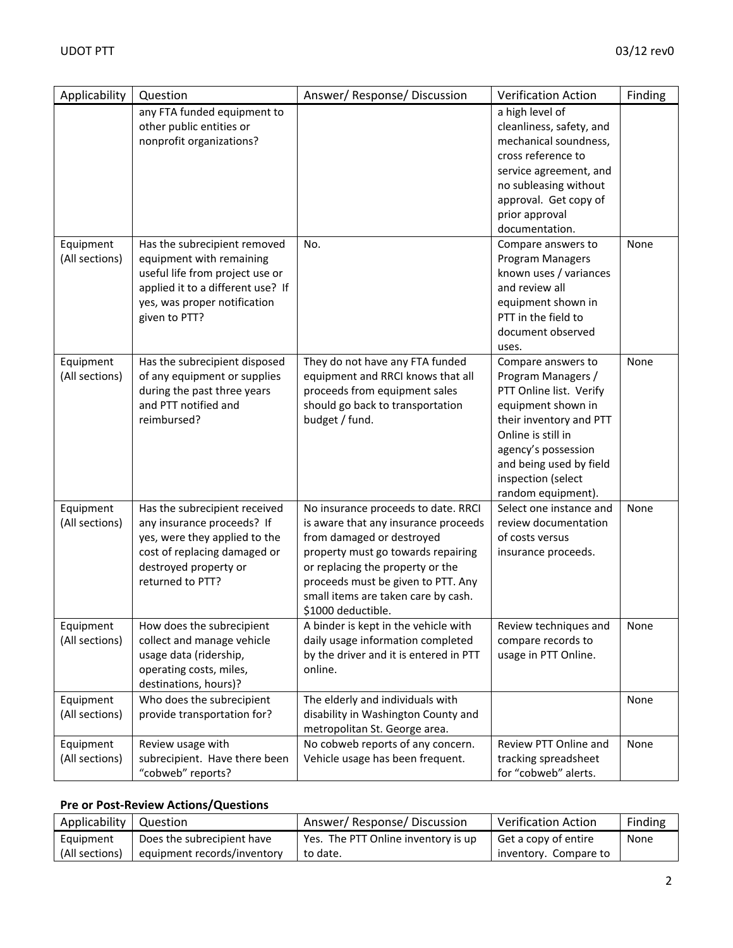| Applicability  | Question                          | Answer/ Response/ Discussion           | <b>Verification Action</b> | Finding |
|----------------|-----------------------------------|----------------------------------------|----------------------------|---------|
|                | any FTA funded equipment to       |                                        | a high level of            |         |
|                | other public entities or          |                                        | cleanliness, safety, and   |         |
|                | nonprofit organizations?          |                                        | mechanical soundness,      |         |
|                |                                   |                                        | cross reference to         |         |
|                |                                   |                                        | service agreement, and     |         |
|                |                                   |                                        | no subleasing without      |         |
|                |                                   |                                        | approval. Get copy of      |         |
|                |                                   |                                        | prior approval             |         |
|                |                                   |                                        | documentation.             |         |
| Equipment      | Has the subrecipient removed      | No.                                    | Compare answers to         | None    |
| (All sections) | equipment with remaining          |                                        | Program Managers           |         |
|                | useful life from project use or   |                                        | known uses / variances     |         |
|                | applied it to a different use? If |                                        | and review all             |         |
|                | yes, was proper notification      |                                        | equipment shown in         |         |
|                | given to PTT?                     |                                        | PTT in the field to        |         |
|                |                                   |                                        | document observed          |         |
|                |                                   |                                        | uses.                      |         |
| Equipment      | Has the subrecipient disposed     | They do not have any FTA funded        | Compare answers to         | None    |
| (All sections) | of any equipment or supplies      | equipment and RRCI knows that all      | Program Managers /         |         |
|                | during the past three years       | proceeds from equipment sales          | PTT Online list. Verify    |         |
|                | and PTT notified and              | should go back to transportation       | equipment shown in         |         |
|                | reimbursed?                       | budget / fund.                         | their inventory and PTT    |         |
|                |                                   |                                        | Online is still in         |         |
|                |                                   |                                        | agency's possession        |         |
|                |                                   |                                        | and being used by field    |         |
|                |                                   |                                        | inspection (select         |         |
|                |                                   |                                        | random equipment).         |         |
| Equipment      | Has the subrecipient received     | No insurance proceeds to date. RRCI    | Select one instance and    | None    |
| (All sections) | any insurance proceeds? If        | is aware that any insurance proceeds   | review documentation       |         |
|                | yes, were they applied to the     | from damaged or destroyed              | of costs versus            |         |
|                | cost of replacing damaged or      | property must go towards repairing     | insurance proceeds.        |         |
|                | destroyed property or             | or replacing the property or the       |                            |         |
|                | returned to PTT?                  | proceeds must be given to PTT. Any     |                            |         |
|                |                                   | small items are taken care by cash.    |                            |         |
|                |                                   | \$1000 deductible.                     |                            |         |
| Equipment      | How does the subrecipient         | A binder is kept in the vehicle with   | Review techniques and      | None    |
| (All sections) | collect and manage vehicle        | daily usage information completed      | compare records to         |         |
|                | usage data (ridership,            | by the driver and it is entered in PTT | usage in PTT Online.       |         |
|                | operating costs, miles,           | online.                                |                            |         |
|                | destinations, hours)?             |                                        |                            |         |
| Equipment      | Who does the subrecipient         | The elderly and individuals with       |                            | None    |
| (All sections) | provide transportation for?       | disability in Washington County and    |                            |         |
|                |                                   | metropolitan St. George area.          |                            |         |
| Equipment      | Review usage with                 | No cobweb reports of any concern.      | Review PTT Online and      | None    |
| (All sections) | subrecipient. Have there been     | Vehicle usage has been frequent.       | tracking spreadsheet       |         |
|                | "cobweb" reports?                 |                                        | for "cobweb" alerts.       |         |

| Applicability Question |                             | Answer/ Response/ Discussion        | Verification Action   | Finding |
|------------------------|-----------------------------|-------------------------------------|-----------------------|---------|
| Equipment              | Does the subrecipient have  | Yes. The PTT Online inventory is up | Get a copy of entire  | None    |
| (All sections)         | equipment records/inventory | to date.                            | inventory. Compare to |         |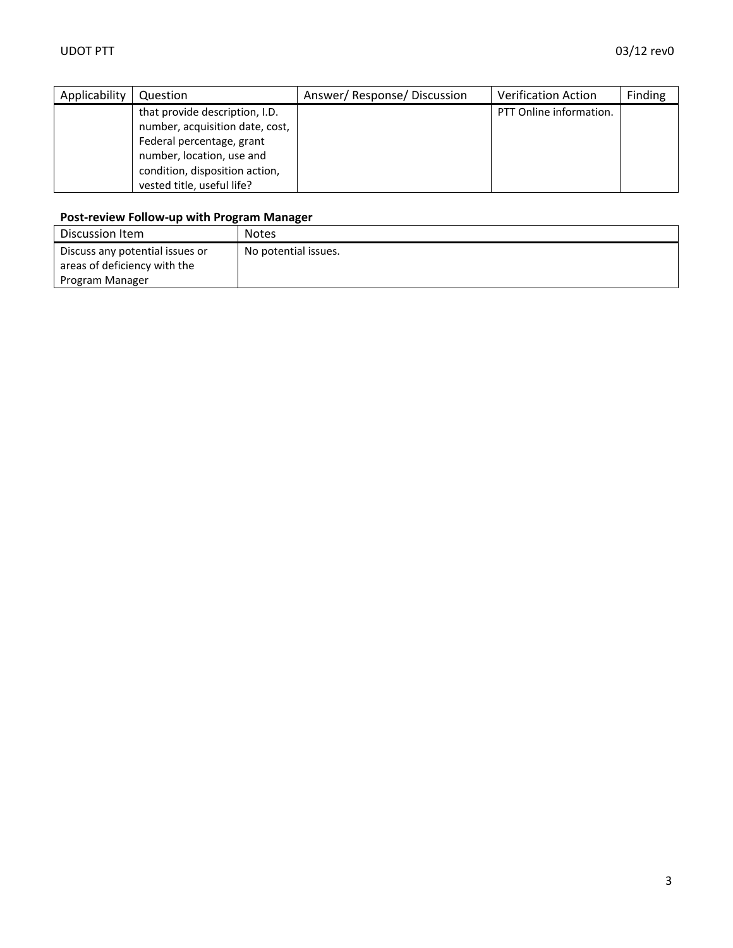| Applicability | Question                        | Answer/Response/Discussion | <b>Verification Action</b> | Finding |
|---------------|---------------------------------|----------------------------|----------------------------|---------|
|               | that provide description, I.D.  |                            | PTT Online information.    |         |
|               | number, acquisition date, cost, |                            |                            |         |
|               | Federal percentage, grant       |                            |                            |         |
|               | number, location, use and       |                            |                            |         |
|               | condition, disposition action,  |                            |                            |         |
|               | vested title, useful life?      |                            |                            |         |

| Discussion Item                 | Notes                |
|---------------------------------|----------------------|
| Discuss any potential issues or | No potential issues. |
| areas of deficiency with the    |                      |
| Program Manager                 |                      |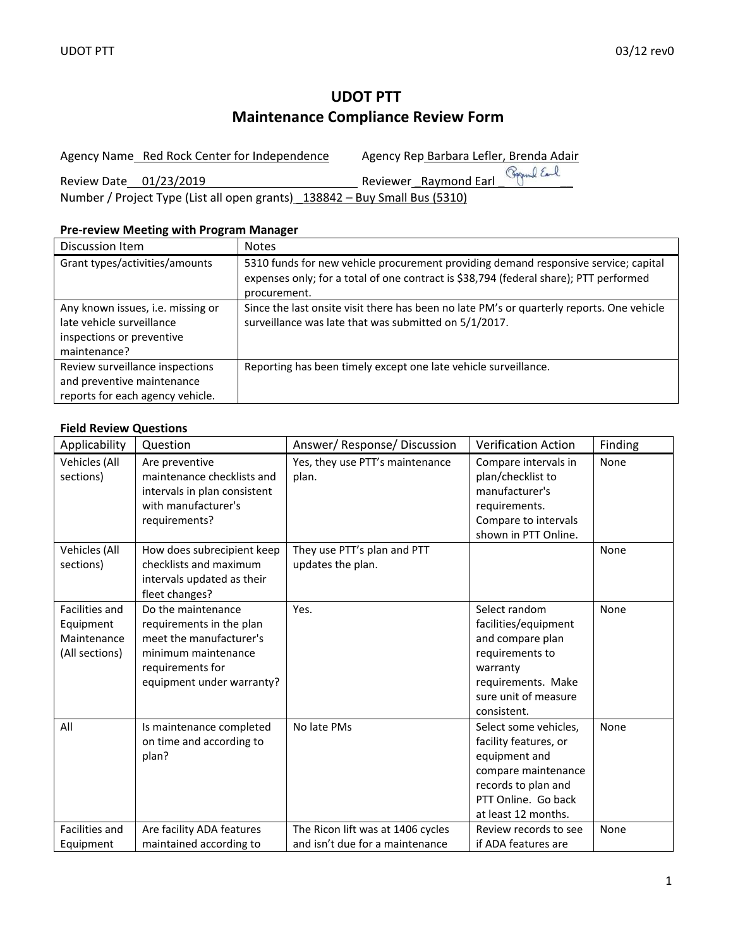# **UDOT PTT Maintenance Compliance Review Form**

Agency Name<u> Red Rock Center for Independence</u> Agency Rep Barbara Lefler, Brenda Adair<br>Review Date 01/23/2019 Review Date 01/23/2019 Reviewer Raymond Earl Number / Project Type (List all open grants) 138842 – Buy Small Bus (5310)

#### **Pre-review Meeting with Program Manager**

| Discussion Item                                                                                             | <b>Notes</b>                                                                                                                                                                                 |
|-------------------------------------------------------------------------------------------------------------|----------------------------------------------------------------------------------------------------------------------------------------------------------------------------------------------|
| Grant types/activities/amounts                                                                              | 5310 funds for new vehicle procurement providing demand responsive service; capital<br>expenses only; for a total of one contract is \$38,794 (federal share); PTT performed<br>procurement. |
| Any known issues, i.e. missing or<br>late vehicle surveillance<br>inspections or preventive<br>maintenance? | Since the last onsite visit there has been no late PM's or quarterly reports. One vehicle<br>surveillance was late that was submitted on 5/1/2017.                                           |
| Review surveillance inspections<br>and preventive maintenance<br>reports for each agency vehicle.           | Reporting has been timely except one late vehicle surveillance.                                                                                                                              |

| Applicability                                                | Question                                                                                                                                          | Answer/ Response/ Discussion                                         | <b>Verification Action</b>                                                                                                                                  | Finding |
|--------------------------------------------------------------|---------------------------------------------------------------------------------------------------------------------------------------------------|----------------------------------------------------------------------|-------------------------------------------------------------------------------------------------------------------------------------------------------------|---------|
| Vehicles (All<br>sections)                                   | Are preventive<br>maintenance checklists and<br>intervals in plan consistent<br>with manufacturer's<br>requirements?                              | Yes, they use PTT's maintenance<br>plan.                             | Compare intervals in<br>plan/checklist to<br>manufacturer's<br>requirements.<br>Compare to intervals<br>shown in PTT Online.                                | None    |
| Vehicles (All<br>sections)                                   | How does subrecipient keep<br>checklists and maximum<br>intervals updated as their<br>fleet changes?                                              | They use PTT's plan and PTT<br>updates the plan.                     |                                                                                                                                                             | None    |
| Facilities and<br>Equipment<br>Maintenance<br>(All sections) | Do the maintenance<br>requirements in the plan<br>meet the manufacturer's<br>minimum maintenance<br>requirements for<br>equipment under warranty? | Yes.                                                                 | Select random<br>facilities/equipment<br>and compare plan<br>requirements to<br>warranty<br>requirements. Make<br>sure unit of measure<br>consistent.       | None    |
| All                                                          | Is maintenance completed<br>on time and according to<br>plan?                                                                                     | No late PMs                                                          | Select some vehicles,<br>facility features, or<br>equipment and<br>compare maintenance<br>records to plan and<br>PTT Online. Go back<br>at least 12 months. | None    |
| <b>Facilities and</b><br>Equipment                           | Are facility ADA features<br>maintained according to                                                                                              | The Ricon lift was at 1406 cycles<br>and isn't due for a maintenance | Review records to see<br>if ADA features are                                                                                                                | None    |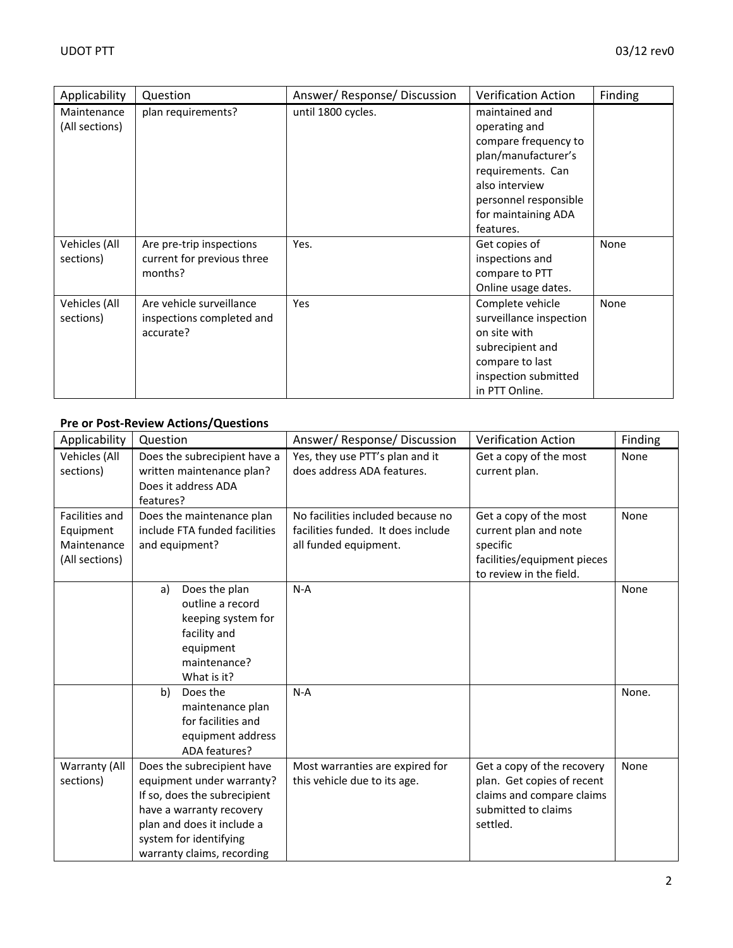| Applicability  | Question                   | Answer/Response/Discussion | <b>Verification Action</b> | Finding |
|----------------|----------------------------|----------------------------|----------------------------|---------|
| Maintenance    | plan requirements?         | until 1800 cycles.         | maintained and             |         |
| (All sections) |                            |                            | operating and              |         |
|                |                            |                            | compare frequency to       |         |
|                |                            |                            | plan/manufacturer's        |         |
|                |                            |                            | requirements. Can          |         |
|                |                            |                            | also interview             |         |
|                |                            |                            | personnel responsible      |         |
|                |                            |                            | for maintaining ADA        |         |
|                |                            |                            | features.                  |         |
| Vehicles (All  | Are pre-trip inspections   | Yes.                       | Get copies of              | None    |
| sections)      | current for previous three |                            | inspections and            |         |
|                | months?                    |                            | compare to PTT             |         |
|                |                            |                            | Online usage dates.        |         |
| Vehicles (All  | Are vehicle surveillance   | Yes                        | Complete vehicle           | None    |
| sections)      | inspections completed and  |                            | surveillance inspection    |         |
|                | accurate?                  |                            | on site with               |         |
|                |                            |                            | subrecipient and           |         |
|                |                            |                            | compare to last            |         |
|                |                            |                            | inspection submitted       |         |
|                |                            |                            | in PTT Online.             |         |

| Applicability                                                | Question                                                                                                                                                                                                  | Answer/Response/Discussion                                                                       | <b>Verification Action</b>                                                                                               | Finding |
|--------------------------------------------------------------|-----------------------------------------------------------------------------------------------------------------------------------------------------------------------------------------------------------|--------------------------------------------------------------------------------------------------|--------------------------------------------------------------------------------------------------------------------------|---------|
| Vehicles (All<br>sections)                                   | Does the subrecipient have a<br>written maintenance plan?<br>Does it address ADA<br>features?                                                                                                             | Yes, they use PTT's plan and it<br>does address ADA features.                                    | Get a copy of the most<br>current plan.                                                                                  | None    |
| Facilities and<br>Equipment<br>Maintenance<br>(All sections) | Does the maintenance plan<br>include FTA funded facilities<br>and equipment?                                                                                                                              | No facilities included because no<br>facilities funded. It does include<br>all funded equipment. | Get a copy of the most<br>current plan and note<br>specific<br>facilities/equipment pieces<br>to review in the field.    | None    |
|                                                              | Does the plan<br>a)<br>outline a record<br>keeping system for<br>facility and<br>equipment<br>maintenance?<br>What is it?                                                                                 | $N-A$                                                                                            |                                                                                                                          | None    |
|                                                              | Does the<br>b)<br>maintenance plan<br>for facilities and<br>equipment address<br>ADA features?                                                                                                            | $N-A$                                                                                            |                                                                                                                          | None.   |
| <b>Warranty (All</b><br>sections)                            | Does the subrecipient have<br>equipment under warranty?<br>If so, does the subrecipient<br>have a warranty recovery<br>plan and does it include a<br>system for identifying<br>warranty claims, recording | Most warranties are expired for<br>this vehicle due to its age.                                  | Get a copy of the recovery<br>plan. Get copies of recent<br>claims and compare claims<br>submitted to claims<br>settled. | None    |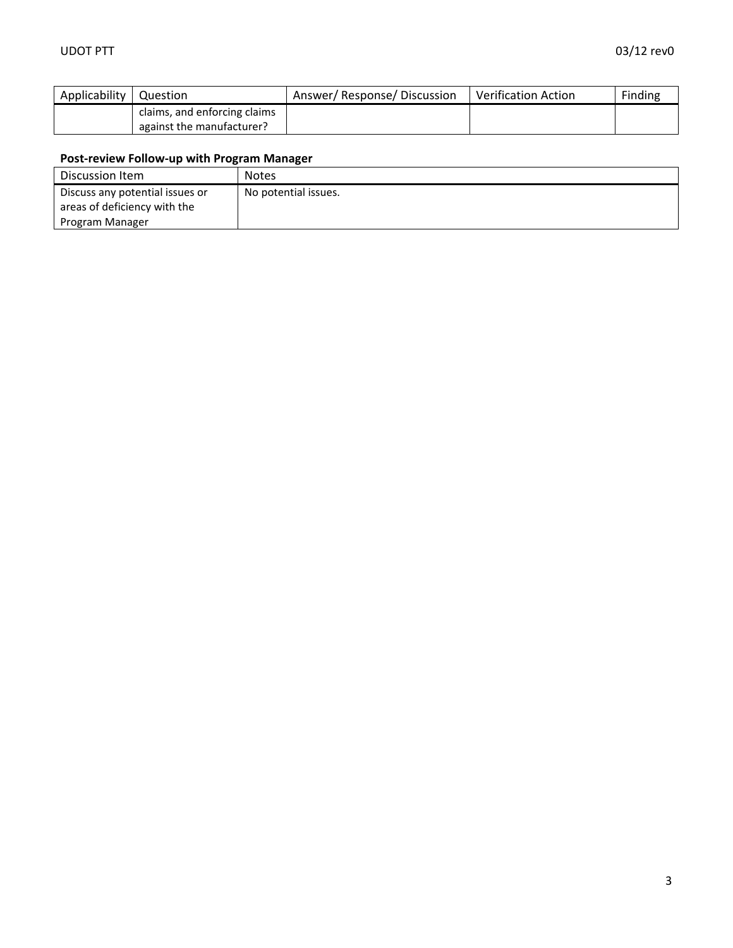| Applicability   Question |                              | Answer/ Response/ Discussion | Verification Action | Finding |
|--------------------------|------------------------------|------------------------------|---------------------|---------|
|                          | claims, and enforcing claims |                              |                     |         |
|                          | against the manufacturer?    |                              |                     |         |

| Discussion Item                                                 | <b>Notes</b>         |
|-----------------------------------------------------------------|----------------------|
| Discuss any potential issues or<br>areas of deficiency with the | No potential issues. |
| Program Manager                                                 |                      |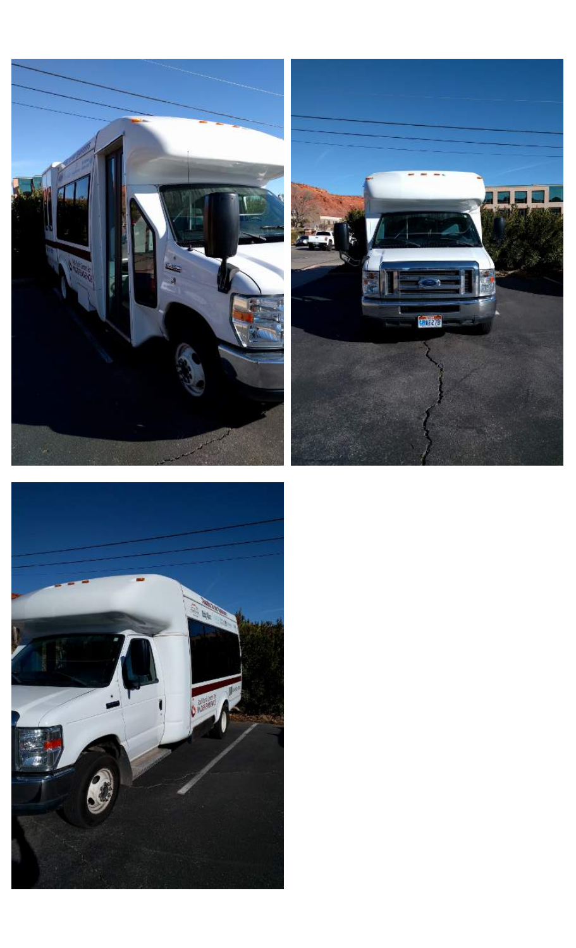



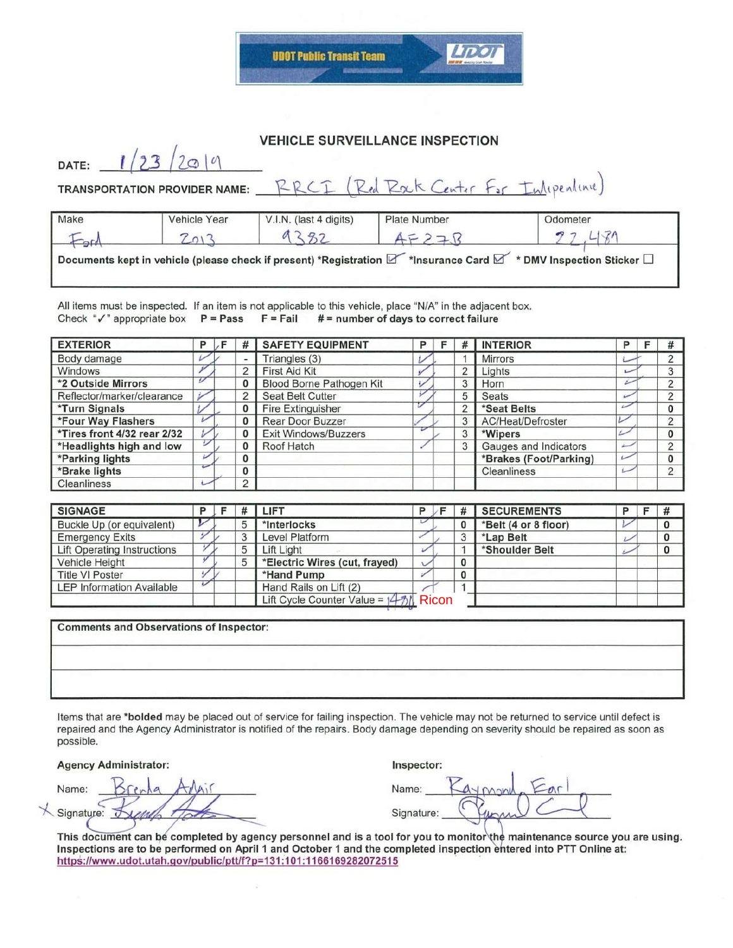

#### **VEHICLE SURVEILLANCE INSPECTION**

DATE:

 $010$ 

Red Rack Center For Interpending)  $RRC$ **TRANSPORTATION PROVIDER NAME:** 

| Make    | Vehicle Year | (last 4 digits)<br>V.I.N. | <b>Plate Number</b> | Odometer |
|---------|--------------|---------------------------|---------------------|----------|
| $-9f''$ |              |                           |                     |          |
|         |              |                           | _____               |          |

Documents kept in vehicle (please check if present) \*Registration  $\mathbb{F}^*$  \*Insurance Card  $\mathbb{F}^*$  > DMV Inspection Sticker  $\Box$ 

All items must be inspected. If an item is not applicable to this vehicle, place "N/A" in the adjacent box. Check " $\checkmark$ " appropriate box  $P = Pass$   $F = Fail$ # = number of days to correct failure

| <b>EXTERIOR</b>             | P                        |        | <b>SAFETY EQUIPMENT</b>     |   |           | <b>INTERIOR</b>        | D   |          |
|-----------------------------|--------------------------|--------|-----------------------------|---|-----------|------------------------|-----|----------|
| Body damage                 |                          |        | Triangles (3)               |   |           | <b>Mirrors</b>         |     |          |
| Windows                     |                          |        | First Aid Kit               |   |           | Lights                 | سنة |          |
| *2 Outside Mirrors          |                          |        | Blood Borne Pathogen Kit    |   | 3         | Horn                   |     |          |
| Reflector/marker/clearance  |                          |        | Seat Belt Cutter            |   | 5         | <b>Seats</b>           |     | $\sim$   |
| *Turn Signals               |                          |        | <b>Fire Extinguisher</b>    |   | $\supset$ | *Seat Belts            |     |          |
| *Four Way Flashers          |                          |        | Rear Door Buzzer            |   | 3         | AC/Heat/Defroster      |     | $\sim$   |
| *Tires front 4/32 rear 2/32 | ✓                        |        | <b>Exit Windows/Buzzers</b> | ╾ | 3         | *Wipers                |     |          |
| *Headlights high and low    | ン                        |        | Roof Hatch                  |   | 3         | Gauges and Indicators  | ت   | $\sim$   |
| *Parking lights             | $\overline{\phantom{a}}$ | 0      |                             |   |           | *Brakes (Foot/Parking) |     |          |
| *Brake lights               | ے                        | 0      |                             |   |           | Cleanliness            |     | $\Omega$ |
| <b>Cleanliness</b>          |                          | $\sim$ |                             |   |           |                        |     |          |

| <b>SIGNAGE</b>                     |   |   | LIFT                                    |   |             | <b>SECUREMENTS</b>   | Ð |   |
|------------------------------------|---|---|-----------------------------------------|---|-------------|----------------------|---|---|
| Buckle Up (or equivalent)          |   | 5 | *Interlocks                             |   | $\bf{0}$    | *Belt (4 or 8 floor) |   | 0 |
| <b>Emergency Exits</b>             |   |   | Level Platform                          |   | $\sim$<br>ت | *Lap Belt            |   |   |
| <b>Lift Operating Instructions</b> |   | э | Lift Light                              |   |             | *Shoulder Belt       |   |   |
| Vehicle Height                     |   | ٠ | *Electric Wires (cut, frayed)           | ✓ | 0           |                      |   |   |
| <b>Title VI Poster</b>             |   |   | *Hand Pump                              |   | $\bf{0}$    |                      |   |   |
| <b>LEP Information Available</b>   | ✓ |   | Hand Rails on Lift (2)                  |   |             |                      |   |   |
|                                    |   |   | Lift Cycle Counter Value = 14 3/1 Ricon |   |             |                      |   |   |

| <b>Comments and Observations of Inspector:</b> |  |
|------------------------------------------------|--|
|                                                |  |
|                                                |  |

Items that are \*bolded may be placed out of service for failing inspection. The vehicle may not be returned to service until defect is repaired and the Agency Administrator is notified of the repairs. Body damage depending on severity should be repaired as soon as possible.

**Agency Administrator:** 

Name: Signature:

Inspector: Name: Signature:

This document can be completed by agency personnel and is a tool for you to monitor the maintenance source you are using. Inspections are to be performed on April 1 and October 1 and the completed inspection entered into PTT Online at: https://www.udot.utah.gov/public/ptt/f?p=131:101:1166169282072515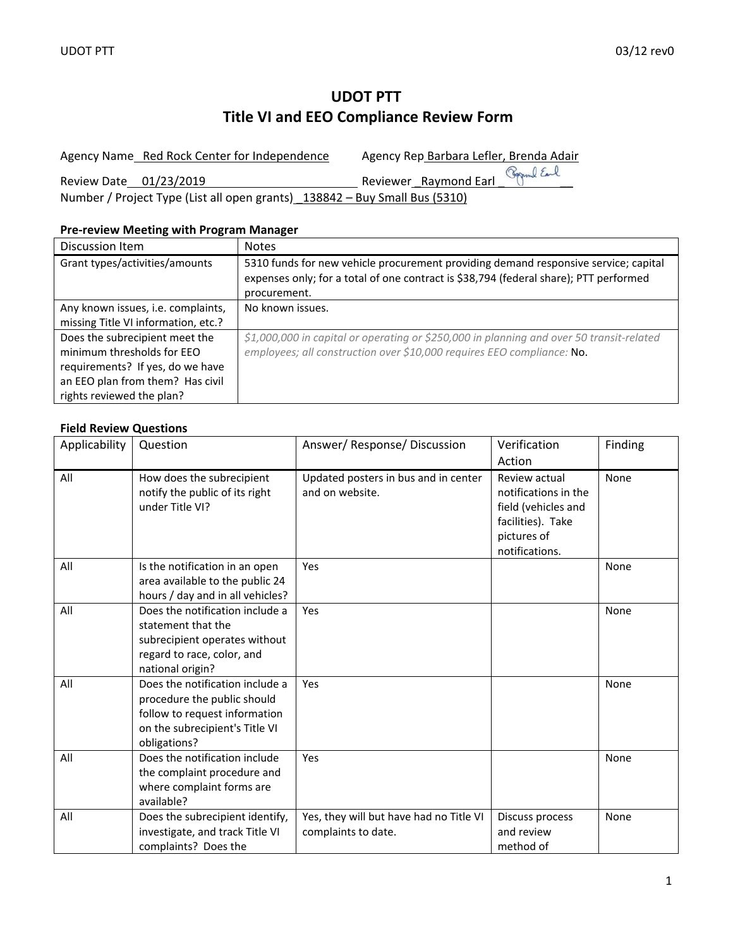# **UDOT PTT Title VI and EEO Compliance Review Form**

Agency Name<u> Red Rock Center for Independence</u> Agency Rep Barbara Lefler, Brenda Adair<br>Review Date 01/23/2019 Review Date 01/23/2019 Reviewer \_Raymond Earl Number / Project Type (List all open grants) 138842 – Buy Small Bus (5310)

#### **Pre-review Meeting with Program Manager**

| Discussion Item                     | <b>Notes</b>                                                                                                                                                                                 |
|-------------------------------------|----------------------------------------------------------------------------------------------------------------------------------------------------------------------------------------------|
| Grant types/activities/amounts      | 5310 funds for new vehicle procurement providing demand responsive service; capital<br>expenses only; for a total of one contract is \$38,794 (federal share); PTT performed<br>procurement. |
| Any known issues, i.e. complaints,  | No known issues.                                                                                                                                                                             |
| missing Title VI information, etc.? |                                                                                                                                                                                              |
| Does the subrecipient meet the      | \$1,000,000 in capital or operating or \$250,000 in planning and over 50 transit-related                                                                                                     |
| minimum thresholds for EEO          | employees; all construction over \$10,000 requires EEO compliance: No.                                                                                                                       |
| requirements? If yes, do we have    |                                                                                                                                                                                              |
| an EEO plan from them? Has civil    |                                                                                                                                                                                              |
| rights reviewed the plan?           |                                                                                                                                                                                              |

| Applicability | Question                                                                                                                                          | Answer/ Response/ Discussion                                   | Verification<br>Action                                                                                             | Finding |
|---------------|---------------------------------------------------------------------------------------------------------------------------------------------------|----------------------------------------------------------------|--------------------------------------------------------------------------------------------------------------------|---------|
| All           | How does the subrecipient<br>notify the public of its right<br>under Title VI?                                                                    | Updated posters in bus and in center<br>and on website.        | Review actual<br>notifications in the<br>field (vehicles and<br>facilities). Take<br>pictures of<br>notifications. | None    |
| All           | Is the notification in an open<br>area available to the public 24<br>hours / day and in all vehicles?                                             | Yes                                                            |                                                                                                                    | None    |
| All           | Does the notification include a<br>statement that the<br>subrecipient operates without<br>regard to race, color, and<br>national origin?          | Yes                                                            |                                                                                                                    | None    |
| All           | Does the notification include a<br>procedure the public should<br>follow to request information<br>on the subrecipient's Title VI<br>obligations? | Yes                                                            |                                                                                                                    | None    |
| All           | Does the notification include<br>the complaint procedure and<br>where complaint forms are<br>available?                                           | Yes                                                            |                                                                                                                    | None    |
| All           | Does the subrecipient identify,<br>investigate, and track Title VI<br>complaints? Does the                                                        | Yes, they will but have had no Title VI<br>complaints to date. | Discuss process<br>and review<br>method of                                                                         | None    |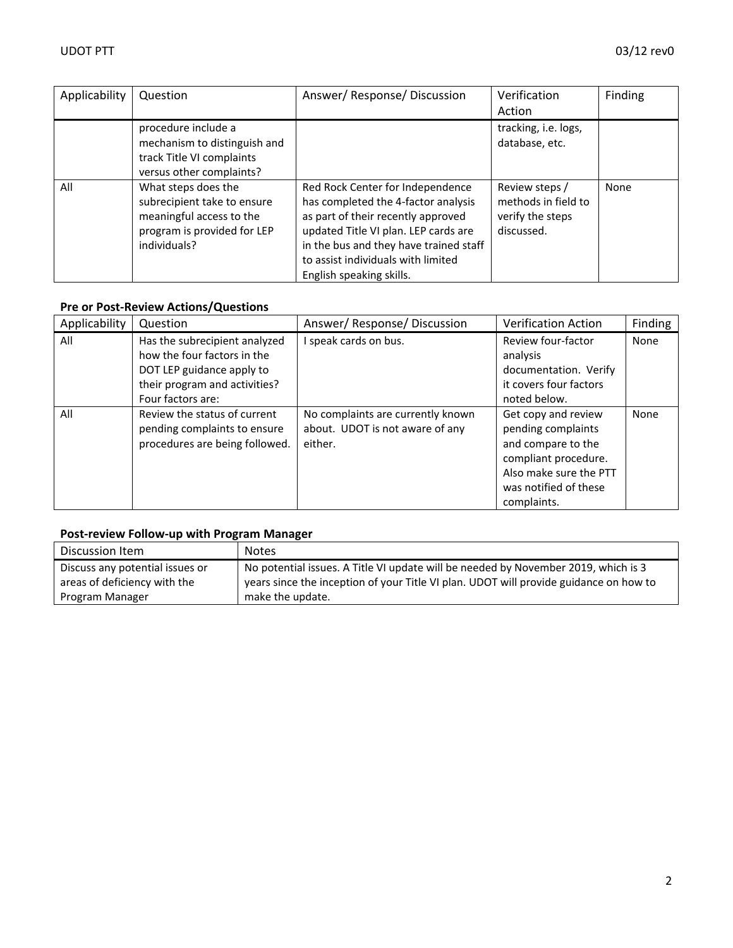| Applicability | Question                                                                                                                      | Answer/Response/Discussion                                                                                                                                                                                                                                        | Verification<br>Action                                                  | Finding |
|---------------|-------------------------------------------------------------------------------------------------------------------------------|-------------------------------------------------------------------------------------------------------------------------------------------------------------------------------------------------------------------------------------------------------------------|-------------------------------------------------------------------------|---------|
|               | procedure include a<br>mechanism to distinguish and<br>track Title VI complaints<br>versus other complaints?                  |                                                                                                                                                                                                                                                                   | tracking, i.e. logs,<br>database, etc.                                  |         |
| All           | What steps does the<br>subrecipient take to ensure<br>meaningful access to the<br>program is provided for LEP<br>individuals? | Red Rock Center for Independence<br>has completed the 4-factor analysis<br>as part of their recently approved<br>updated Title VI plan. LEP cards are<br>in the bus and they have trained staff<br>to assist individuals with limited<br>English speaking skills. | Review steps /<br>methods in field to<br>verify the steps<br>discussed. | None    |

| Applicability | Question                                                                                                                                        | Answer/Response/Discussion                                                      | <b>Verification Action</b>                                                                                                                                        | Finding |
|---------------|-------------------------------------------------------------------------------------------------------------------------------------------------|---------------------------------------------------------------------------------|-------------------------------------------------------------------------------------------------------------------------------------------------------------------|---------|
| All           | Has the subrecipient analyzed<br>how the four factors in the<br>DOT LEP guidance apply to<br>their program and activities?<br>Four factors are: | speak cards on bus.                                                             | Review four-factor<br>analysis<br>documentation. Verify<br>it covers four factors<br>noted below.                                                                 | None    |
| All           | Review the status of current<br>pending complaints to ensure<br>procedures are being followed.                                                  | No complaints are currently known<br>about. UDOT is not aware of any<br>either. | Get copy and review<br>None<br>pending complaints<br>and compare to the<br>compliant procedure.<br>Also make sure the PTT<br>was notified of these<br>complaints. |         |

| Discussion Item                 | <b>Notes</b>                                                                          |
|---------------------------------|---------------------------------------------------------------------------------------|
| Discuss any potential issues or | No potential issues. A Title VI update will be needed by November 2019, which is 3    |
| areas of deficiency with the    | years since the inception of your Title VI plan. UDOT will provide guidance on how to |
| Program Manager                 | make the update.                                                                      |